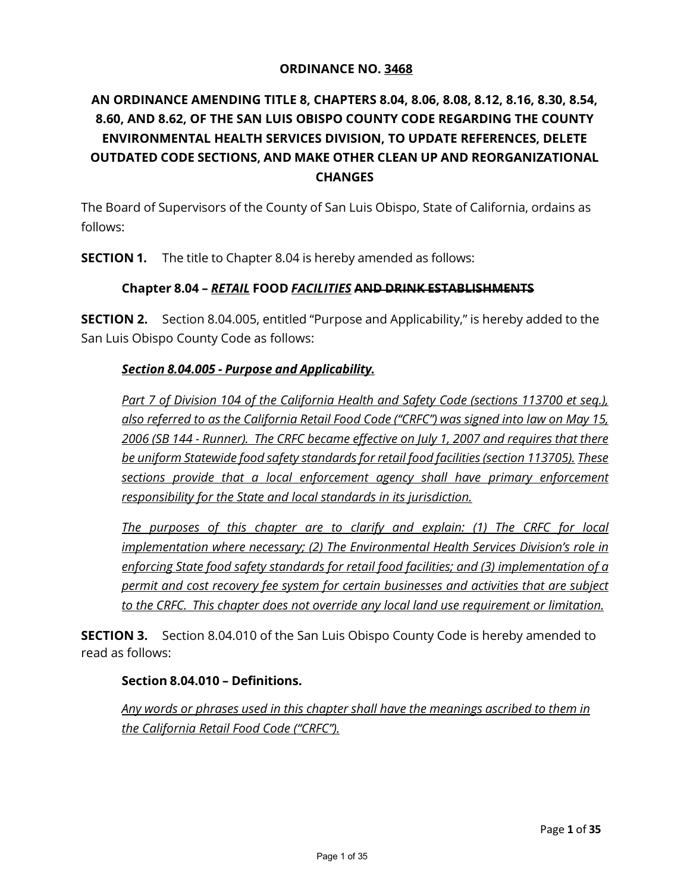### **ORDINANCE NO. 3468**

# **AN ORDINANCE AMENDING TITLE 8, CHAPTERS 8.04, 8.06, 8.08, 8.12, 8.16, 8.30, 8.54, 8.60, AND 8.62, OF THE SAN LUIS OBISPO COUNTY CODE REGARDING THE COUNTY ENVIRONMENTAL HEALTH SERVICES DIVISION, TO UPDATE REFERENCES, DELETE OUTDATED CODE SECTIONS, AND MAKE OTHER CLEAN UP AND REORGANIZATIONAL CHANGES**

The Board of Supervisors of the County of San Luis Obispo, State of California, ordains as follows:

**SECTION 1.** The title to Chapter 8.04 is hereby amended as follows:

### **Chapter 8.04 –** *RETAIL* **FOOD** *FACILITIES* **AND DRINK ESTABLISHMENTS**

**SECTION 2.** Section 8.04.005, entitled "Purpose and Applicability," is hereby added to the San Luis Obispo County Code as follows:

### *Section 8.04.005 - Purpose and Applicability.*

*Part 7 of Division 104 of the California Health and Safety Code (sections 113700 et seq.), also referred to as the California Retail Food Code ("CRFC") was signed into law on May 15, 2006 (SB 144 - Runner). The CRFC became effective on July 1, 2007 and requires that there be uniform Statewide food safety standards for retail food facilities (section 113705). These sections provide that a local enforcement agency shall have primary enforcement responsibility for the State and local standards in its jurisdiction.*

*The purposes of this chapter are to clarify and explain: (1) The CRFC for local implementation where necessary; (2) The Environmental Health Services Division's role in enforcing State food safety standards for retail food facilities; and (3) implementation of a permit and cost recovery fee system for certain businesses and activities that are subject to the CRFC. This chapter does not override any local land use requirement or limitation.*

**SECTION 3.** Section 8.04.010 of the San Luis Obispo County Code is hereby amended to read as follows:

## **Section 8.04.010 – Definitions.**

*Any words or phrases used in this chapter shall have the meanings ascribed to them in the California Retail Food Code ("CRFC").*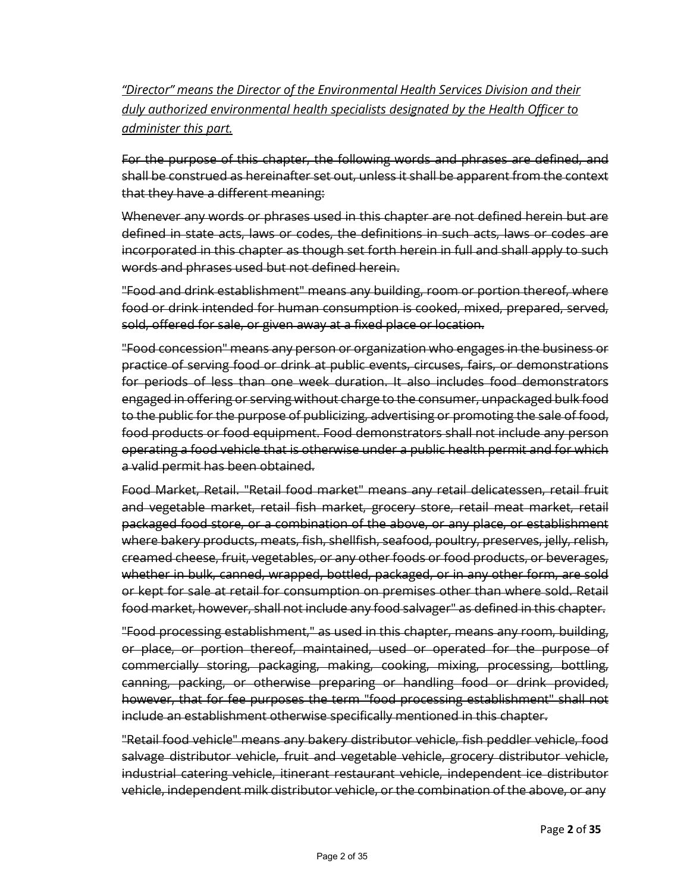*"Director" means the Director of the Environmental Health Services Division and their duly authorized environmental health specialists designated by the Health Officer to administer this part.*

For the purpose of this chapter, the following words and phrases are defined, and shall be construed as hereinafter set out, unless it shall be apparent from the context that they have a different meaning:

Whenever any words or phrases used in this chapter are not defined herein but are defined in state acts, laws or codes, the definitions in such acts, laws or codes are incorporated in this chapter as though set forth herein in full and shall apply to such words and phrases used but not defined herein.

"Food and drink establishment" means any building, room or portion thereof, where food or drink intended for human consumption is cooked, mixed, prepared, served, sold, offered for sale, or given away at a fixed place or location.

"Food concession" means any person or organization who engages in the business or practice of serving food or drink at public events, circuses, fairs, or demonstrations for periods of less than one week duration. It also includes food demonstrators engaged in offering or serving without charge to the consumer, unpackaged bulk food to the public for the purpose of publicizing, advertising or promoting the sale of food, food products or food equipment. Food demonstrators shall not include any person operating a food vehicle that is otherwise under a public health permit and for which a valid permit has been obtained.

Food Market, Retail. "Retail food market" means any retail delicatessen, retail fruit and vegetable market, retail fish market, grocery store, retail meat market, retail packaged food store, or a combination of the above, or any place, or establishment where bakery products, meats, fish, shellfish, seafood, poultry, preserves, jelly, relish, creamed cheese, fruit, vegetables, or any other foods or food products, or beverages, whether in bulk, canned, wrapped, bottled, packaged, or in any other form, are sold or kept for sale at retail for consumption on premises other than where sold. Retail food market, however, shall not include any food salvager" as defined in this chapter.

"Food processing establishment," as used in this chapter, means any room, building, or place, or portion thereof, maintained, used or operated for the purpose of commercially storing, packaging, making, cooking, mixing, processing, bottling, canning, packing, or otherwise preparing or handling food or drink provided, however, that for fee purposes the term "food processing establishment" shall not include an establishment otherwise specifically mentioned in this chapter.

"Retail food vehicle" means any bakery distributor vehicle, fish peddler vehicle, food salvage distributor vehicle, fruit and vegetable vehicle, grocery distributor vehicle, industrial catering vehicle, itinerant restaurant vehicle, independent ice distributor vehicle, independent milk distributor vehicle, or the combination of the above, or any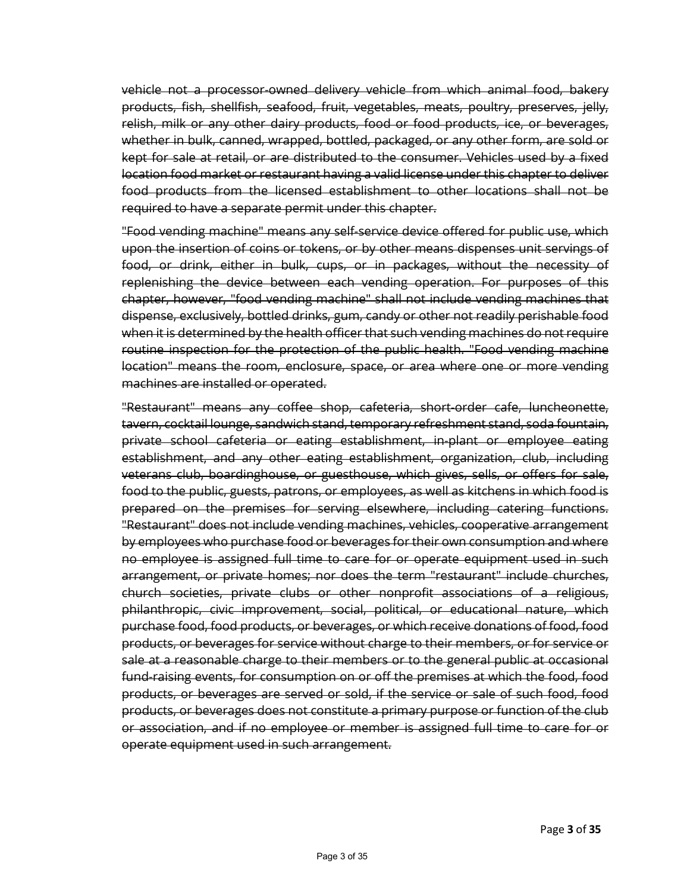vehicle not a processor-owned delivery vehicle from which animal food, bakery products, fish, shellfish, seafood, fruit, vegetables, meats, poultry, preserves, jelly, relish, milk or any other dairy products, food or food products, ice, or beverages, whether in bulk, canned, wrapped, bottled, packaged, or any other form, are sold or kept for sale at retail, or are distributed to the consumer. Vehicles used by a fixed location food market or restaurant having a valid license under this chapter to deliver food products from the licensed establishment to other locations shall not be required to have a separate permit under this chapter.

"Food vending machine" means any self-service device offered for public use, which upon the insertion of coins or tokens, or by other means dispenses unit servings of food, or drink, either in bulk, cups, or in packages, without the necessity of replenishing the device between each vending operation. For purposes of this chapter, however, "food vending machine" shall not include vending machines that dispense, exclusively, bottled drinks, gum, candy or other not readily perishable food when it is determined by the health officer that such vending machines do not require routine inspection for the protection of the public health. "Food vending machine location" means the room, enclosure, space, or area where one or more vending machines are installed or operated.

"Restaurant" means any coffee shop, cafeteria, short-order cafe, luncheonette, tavern, cocktail lounge, sandwich stand, temporary refreshment stand, soda fountain, private school cafeteria or eating establishment, in-plant or employee eating establishment, and any other eating establishment, organization, club, including veterans club, boardinghouse, or guesthouse, which gives, sells, or offers for sale, food to the public, guests, patrons, or employees, as well as kitchens in which food is prepared on the premises for serving elsewhere, including catering functions. "Restaurant" does not include vending machines, vehicles, cooperative arrangement by employees who purchase food or beverages for their own consumption and where no employee is assigned full time to care for or operate equipment used in such arrangement, or private homes; nor does the term "restaurant" include churches, church societies, private clubs or other nonprofit associations of a religious, philanthropic, civic improvement, social, political, or educational nature, which purchase food, food products, or beverages, or which receive donations of food, food products, or beverages for service without charge to their members, or for service or sale at a reasonable charge to their members or to the general public at occasional fund-raising events, for consumption on or off the premises at which the food, food products, or beverages are served or sold, if the service or sale of such food, food products, or beverages does not constitute a primary purpose or function of the club or association, and if no employee or member is assigned full time to care for or operate equipment used in such arrangement.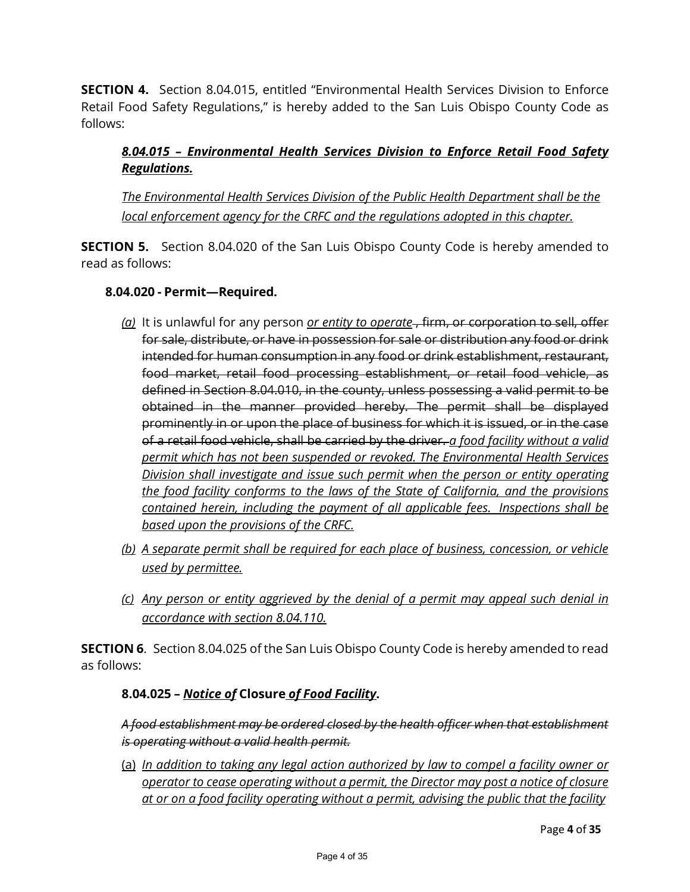**SECTION 4.** Section 8.04.015, entitled "Environmental Health Services Division to Enforce Retail Food Safety Regulations," is hereby added to the San Luis Obispo County Code as follows:

# *8.04.015 – Environmental Health Services Division to Enforce Retail Food Safety Regulations.*

*The Environmental Health Services Division of the Public Health Department shall be the local enforcement agency for the CRFC and the regulations adopted in this chapter.*

**SECTION 5.** Section 8.04.020 of the San Luis Obispo County Code is hereby amended to read as follows:

# **8.04.020 - Permit—Required.**

- *(a)* It is unlawful for any person *or entity to operate* , firm, or corporation to sell, offer for sale, distribute, or have in possession for sale or distribution any food or drink intended for human consumption in any food or drink establishment, restaurant, food market, retail food processing establishment, or retail food vehicle, as defined in Section 8.04.010, in the county, unless possessing a valid permit to be obtained in the manner provided hereby. The permit shall be displayed prominently in or upon the place of business for which it is issued, or in the case of a retail food vehicle, shall be carried by the driver. *a food facility without a valid permit which has not been suspended or revoked. The Environmental Health Services Division shall investigate and issue such permit when the person or entity operating the food facility conforms to the laws of the State of California, and the provisions contained herein, including the payment of all applicable fees. Inspections shall be based upon the provisions of the CRFC.*
- *(b) A separate permit shall be required for each place of business, concession, or vehicle used by permittee.*
- *(c) Any person or entity aggrieved by the denial of a permit may appeal such denial in accordance with section 8.04.110.*

**SECTION 6**. Section 8.04.025 of the San Luis Obispo County Code is hereby amended to read as follows:

# **8.04.025 –** *Notice of* **Closure** *of Food Facility***.**

*A food establishment may be ordered closed by the health officer when that establishment is operating without a valid health permit.*

(a) *In addition to taking any legal action authorized by law to compel a facility owner or operator to cease operating without a permit, the Director may post a notice of closure at or on a food facility operating without a permit, advising the public that the facility*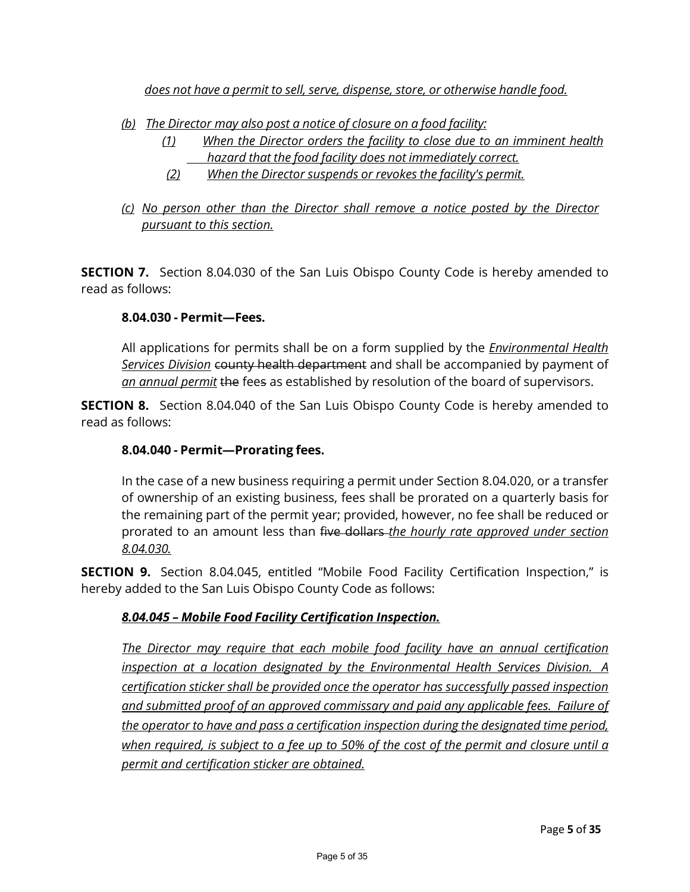*does not have a permit to sell, serve, dispense, store, or otherwise handle food.*

- *(b) The Director may also post a notice of closure on a food facility:*
	- *(1) When the Director orders the facility to close due to an imminent health hazard that the food facility does not immediately correct.*
	- *(2) When the Director suspends or revokes the facility's permit.*
- *(c) No person other than the Director shall remove a notice posted by the Director pursuant to this section.*

**SECTION 7.** Section 8.04.030 of the San Luis Obispo County Code is hereby amended to read as follows:

## **8.04.030 - Permit—Fees.**

All applications for permits shall be on a form supplied by the *Environmental Health Services Division* county health department and shall be accompanied by payment of *an annual permit* the fees as established by resolution of the board of supervisors.

**SECTION 8.** Section 8.04.040 of the San Luis Obispo County Code is hereby amended to read as follows:

## **8.04.040 - Permit—Prorating fees.**

In the case of a new business requiring a permit under Section 8.04.020, or a transfer of ownership of an existing business, fees shall be prorated on a quarterly basis for the remaining part of the permit year; provided, however, no fee shall be reduced or prorated to an amount less than five dollars *the hourly rate approved under section 8.04.030.*

**SECTION 9.** Section 8.04.045, entitled "Mobile Food Facility Certification Inspection," is hereby added to the San Luis Obispo County Code as follows:

# *8.04.045 – Mobile Food Facility Certification Inspection.*

*The Director may require that each mobile food facility have an annual certification inspection at a location designated by the Environmental Health Services Division. A certification sticker shall be provided once the operator has successfully passed inspection and submitted proof of an approved commissary and paid any applicable fees. Failure of the operator to have and pass a certification inspection during the designated time period, when required, is subject to a fee up to 50% of the cost of the permit and closure until a permit and certification sticker are obtained.*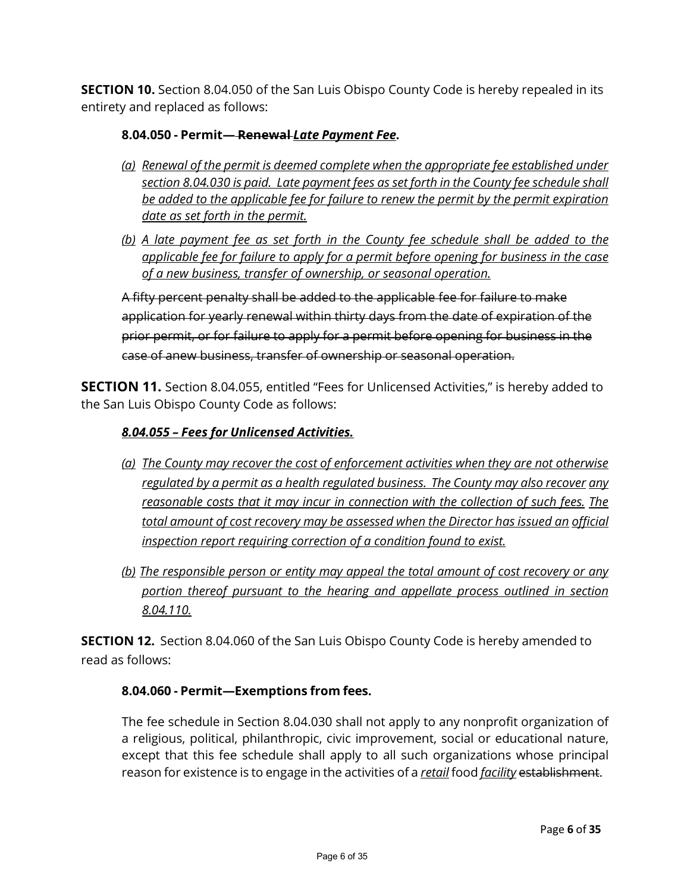**SECTION 10.** Section 8.04.050 of the San Luis Obispo County Code is hereby repealed in its entirety and replaced as follows:

## **8.04.050 - Permit— Renewal** *Late Payment Fee***.**

- *(a) Renewal of the permit is deemed complete when the appropriate fee established under section 8.04.030 is paid. Late payment fees as set forth in the County fee schedule shall be added to the applicable fee for failure to renew the permit by the permit expiration date as set forth in the permit.*
- *(b) A late payment fee as set forth in the County fee schedule shall be added to the applicable fee for failure to apply for a permit before opening for business in the case of a new business, transfer of ownership, or seasonal operation.*

A fifty percent penalty shall be added to the applicable fee for failure to make application for yearly renewal within thirty days from the date of expiration of the prior permit, or for failure to apply for a permit before opening for business in the case of anew business, transfer of ownership or seasonal operation.

**SECTION 11.** Section 8.04.055, entitled "Fees for Unlicensed Activities," is hereby added to the San Luis Obispo County Code as follows:

# *8.04.055 – Fees for Unlicensed Activities.*

- *(a) The County may recover the cost of enforcement activities when they are not otherwise regulated by a permit as a health regulated business. The County may also recover any reasonable costs that it may incur in connection with the collection of such fees. The total amount of cost recovery may be assessed when the Director has issued an official inspection report requiring correction of a condition found to exist.*
- *(b) The responsible person or entity may appeal the total amount of cost recovery or any portion thereof pursuant to the hearing and appellate process outlined in section 8.04.110.*

**SECTION 12.** Section 8.04.060 of the San Luis Obispo County Code is hereby amended to read as follows:

## **8.04.060 - Permit—Exemptions from fees.**

The fee schedule in Section 8.04.030 shall not apply to any nonprofit organization of a religious, political, philanthropic, civic improvement, social or educational nature, except that this fee schedule shall apply to all such organizations whose principal reason for existence is to engage in the activities of a *retail* food *facility* establishment.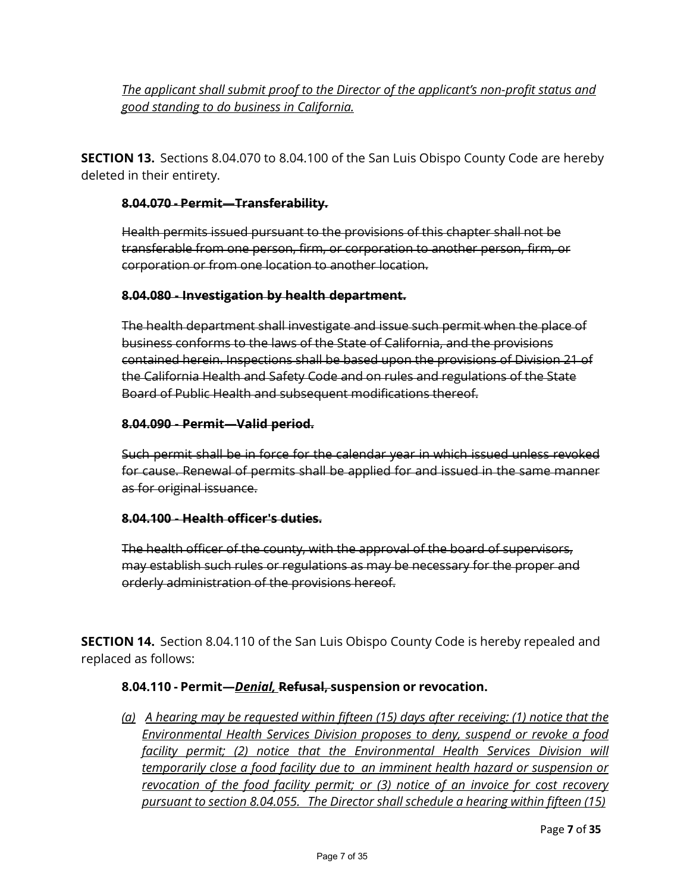*The applicant shall submit proof to the Director of the applicant's non-profit status and good standing to do business in California.*

**SECTION 13.** Sections 8.04.070 to 8.04.100 of the San Luis Obispo County Code are hereby deleted in their entirety.

## **8.04.070 - Permit—Transferability.**

Health permits issued pursuant to the provisions of this chapter shall not be transferable from one person, firm, or corporation to another person, firm, or corporation or from one location to another location.

## **8.04.080 - Investigation by health department.**

The health department shall investigate and issue such permit when the place of business conforms to the laws of the State of California, and the provisions contained herein. Inspections shall be based upon the provisions of Division 21 of the California Health and Safety Code and on rules and regulations of the State Board of Public Health and subsequent modifications thereof.

## **8.04.090 - Permit—Valid period.**

Such permit shall be in force for the calendar year in which issued unless revoked for cause. Renewal of permits shall be applied for and issued in the same manner as for original issuance.

## **8.04.100 - Health officer's duties.**

The health officer of the county, with the approval of the board of supervisors, may establish such rules or regulations as may be necessary for the proper and orderly administration of the provisions hereof.

**SECTION 14.** Section 8.04.110 of the San Luis Obispo County Code is hereby repealed and replaced as follows:

# **8.04.110 - Permit—***Denial,* **Refusal, suspension or revocation.**

*(a) A hearing may be requested within fifteen (15) days after receiving: (1) notice that the Environmental Health Services Division proposes to deny, suspend or revoke a food facility permit; (2) notice that the Environmental Health Services Division will temporarily close a food facility due to an imminent health hazard or suspension or revocation of the food facility permit; or (3) notice of an invoice for cost recovery pursuant to section 8.04.055. The Director shall schedule a hearing within fifteen (15)*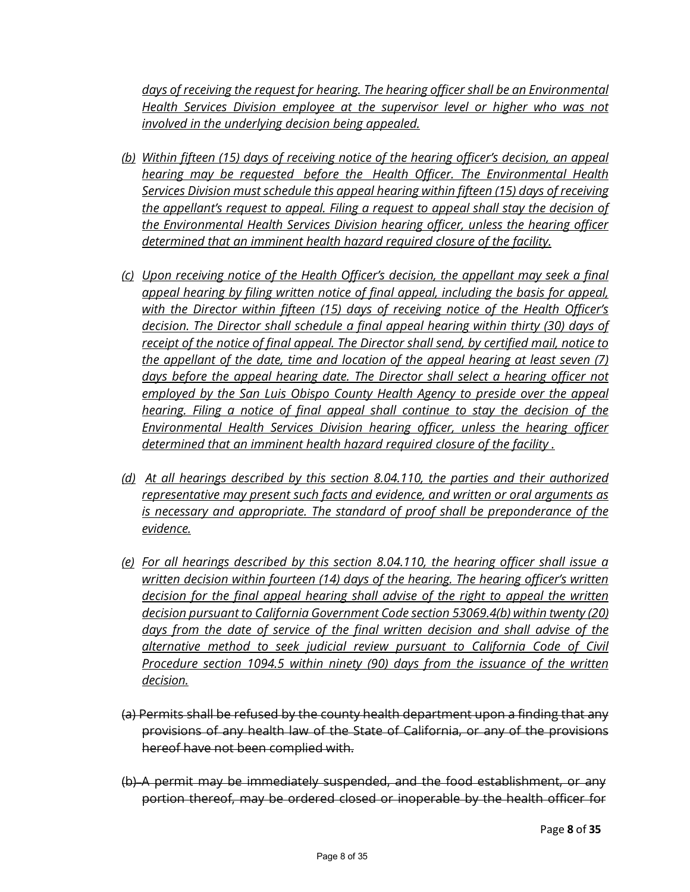*days of receiving the request for hearing. The hearing officer shall be an Environmental Health Services Division employee at the supervisor level or higher who was not involved in the underlying decision being appealed.*

- *(b) Within fifteen (15) days of receiving notice of the hearing officer's decision, an appeal hearing may be requested before the Health Officer. The Environmental Health Services Division must schedule this appeal hearing within fifteen (15) days of receiving the appellant's request to appeal. Filing a request to appeal shall stay the decision of the Environmental Health Services Division hearing officer, unless the hearing officer determined that an imminent health hazard required closure of the facility.*
- *(c) Upon receiving notice of the Health Officer's decision, the appellant may seek a final appeal hearing by filing written notice of final appeal, including the basis for appeal, with the Director within fifteen (15) days of receiving notice of the Health Officer's decision. The Director shall schedule a final appeal hearing within thirty (30) days of receipt of the notice of final appeal. The Director shall send, by certified mail, notice to the appellant of the date, time and location of the appeal hearing at least seven (7) days before the appeal hearing date. The Director shall select a hearing officer not employed by the San Luis Obispo County Health Agency to preside over the appeal hearing. Filing a notice of final appeal shall continue to stay the decision of the Environmental Health Services Division hearing officer, unless the hearing officer determined that an imminent health hazard required closure of the facility .*
- *(d) At all hearings described by this section 8.04.110, the parties and their authorized representative may present such facts and evidence, and written or oral arguments as is necessary and appropriate. The standard of proof shall be preponderance of the evidence.*
- *(e) For all hearings described by this section 8.04.110, the hearing officer shall issue a written decision within fourteen (14) days of the hearing. The hearing officer's written decision for the final appeal hearing shall advise of the right to appeal the written decision pursuant to California Government Code section 53069.4(b) within twenty (20) days from the date of service of the final written decision and shall advise of the alternative method to seek judicial review pursuant to California Code of Civil Procedure section 1094.5 within ninety (90) days from the issuance of the written decision.*
- (a) Permits shall be refused by the county health department upon a finding that any provisions of any health law of the State of California, or any of the provisions hereof have not been complied with.
- (b) A permit may be immediately suspended, and the food establishment, or any portion thereof, may be ordered closed or inoperable by the health officer for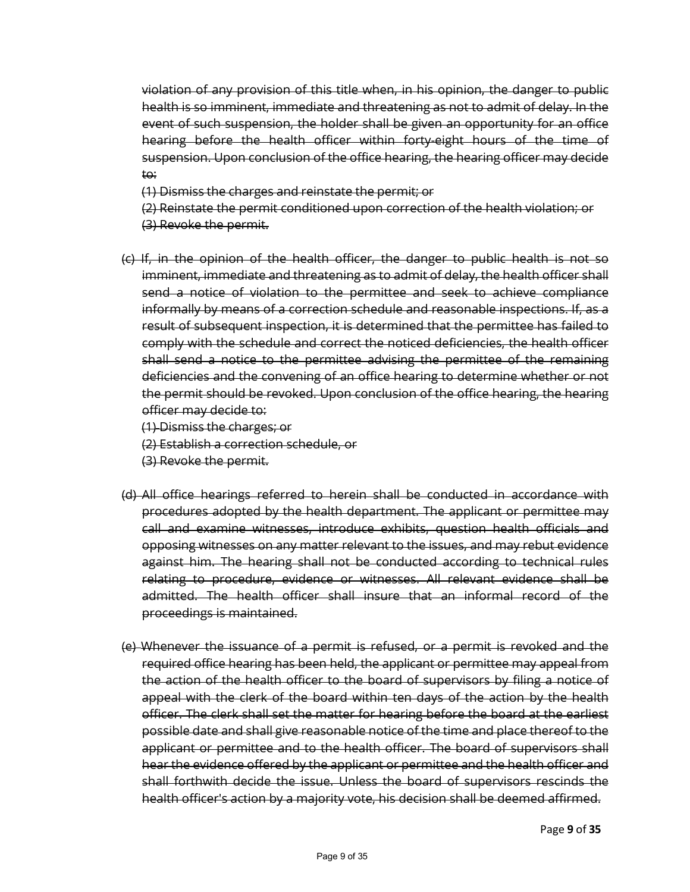violation of any provision of this title when, in his opinion, the danger to public health is so imminent, immediate and threatening as not to admit of delay. In the event of such suspension, the holder shall be given an opportunity for an office hearing before the health officer within forty-eight hours of the time of suspension. Upon conclusion of the office hearing, the hearing officer may decide to:

(1) Dismiss the charges and reinstate the permit; or

(2) Reinstate the permit conditioned upon correction of the health violation; or

(3) Revoke the permit.

(c) If, in the opinion of the health officer, the danger to public health is not so imminent, immediate and threatening as to admit of delay, the health officer shall send a notice of violation to the permittee and seek to achieve compliance informally by means of a correction schedule and reasonable inspections. If, as a result of subsequent inspection, it is determined that the permittee has failed to comply with the schedule and correct the noticed deficiencies, the health officer shall send a notice to the permittee advising the permittee of the remaining deficiencies and the convening of an office hearing to determine whether or not the permit should be revoked. Upon conclusion of the office hearing, the hearing officer may decide to:

(1) Dismiss the charges; or

(2) Establish a correction schedule, or

(3) Revoke the permit.

- (d) All office hearings referred to herein shall be conducted in accordance with procedures adopted by the health department. The applicant or permittee may call and examine witnesses, introduce exhibits, question health officials and opposing witnesses on any matter relevant to the issues, and may rebut evidence against him. The hearing shall not be conducted according to technical rules relating to procedure, evidence or witnesses. All relevant evidence shall be admitted. The health officer shall insure that an informal record of the proceedings is maintained.
- (e) Whenever the issuance of a permit is refused, or a permit is revoked and the required office hearing has been held, the applicant or permittee may appeal from the action of the health officer to the board of supervisors by filing a notice of appeal with the clerk of the board within ten days of the action by the health officer. The clerk shall set the matter for hearing before the board at the earliest possible date and shall give reasonable notice of the time and place thereof to the applicant or permittee and to the health officer. The board of supervisors shall hear the evidence offered by the applicant or permittee and the health officer and shall forthwith decide the issue. Unless the board of supervisors rescinds the health officer's action by a majority vote, his decision shall be deemed affirmed.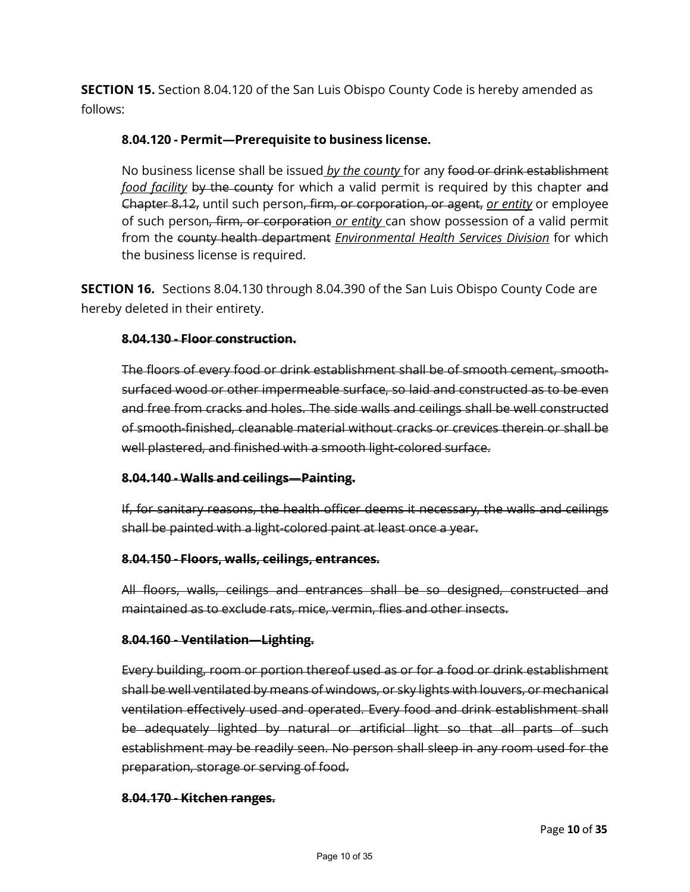**SECTION 15.** Section 8.04.120 of the San Luis Obispo County Code is hereby amended as follows:

### **8.04.120 - Permit—Prerequisite to business license.**

No business license shall be issued *by the county* for any food or drink establishment *food facility* by the county for which a valid permit is required by this chapter and Chapter 8.12, until such person, firm, or corporation, or agent, *or entity* or employee of such person, firm, or corporation *or entity* can show possession of a valid permit from the county health department *Environmental Health Services Division* for which the business license is required.

**SECTION 16.** Sections 8.04.130 through 8.04.390 of the San Luis Obispo County Code are hereby deleted in their entirety.

### **8.04.130 - Floor construction.**

The floors of every food or drink establishment shall be of smooth cement, smoothsurfaced wood or other impermeable surface, so laid and constructed as to be even and free from cracks and holes. The side walls and ceilings shall be well constructed of smooth-finished, cleanable material without cracks or crevices therein or shall be well plastered, and finished with a smooth light-colored surface.

### **8.04.140 - Walls and ceilings—Painting.**

If, for sanitary reasons, the health officer deems it necessary, the walls and ceilings shall be painted with a light-colored paint at least once a year.

### **8.04.150 - Floors, walls, ceilings, entrances.**

All floors, walls, ceilings and entrances shall be so designed, constructed and maintained as to exclude rats, mice, vermin, flies and other insects.

#### **8.04.160 - Ventilation—Lighting.**

Every building, room or portion thereof used as or for a food or drink establishment shall be well ventilated by means of windows, or sky lights with louvers, or mechanical ventilation effectively used and operated. Every food and drink establishment shall be adequately lighted by natural or artificial light so that all parts of such establishment may be readily seen. No person shall sleep in any room used for the preparation, storage or serving of food.

#### **8.04.170 - Kitchen ranges.**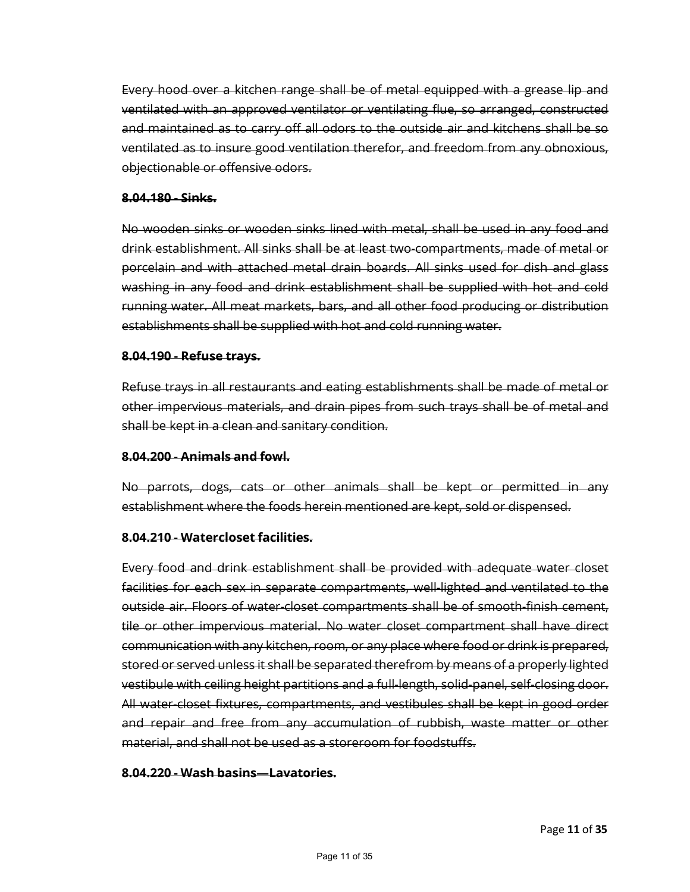Every hood over a kitchen range shall be of metal equipped with a grease lip and ventilated with an approved ventilator or ventilating flue, so arranged, constructed and maintained as to carry off all odors to the outside air and kitchens shall be so ventilated as to insure good ventilation therefor, and freedom from any obnoxious, objectionable or offensive odors.

### **8.04.180 - Sinks.**

No wooden sinks or wooden sinks lined with metal, shall be used in any food and drink establishment. All sinks shall be at least two-compartments, made of metal or porcelain and with attached metal drain boards. All sinks used for dish and glass washing in any food and drink establishment shall be supplied with hot and cold running water. All meat markets, bars, and all other food producing or distribution establishments shall be supplied with hot and cold running water.

### **8.04.190 - Refuse trays.**

Refuse trays in all restaurants and eating establishments shall be made of metal or other impervious materials, and drain pipes from such trays shall be of metal and shall be kept in a clean and sanitary condition.

### **8.04.200 - Animals and fowl.**

No parrots, dogs, cats or other animals shall be kept or permitted in any establishment where the foods herein mentioned are kept, sold or dispensed.

### **8.04.210 - Watercloset facilities.**

Every food and drink establishment shall be provided with adequate water closet facilities for each sex in separate compartments, well-lighted and ventilated to the outside air. Floors of water-closet compartments shall be of smooth-finish cement, tile or other impervious material. No water closet compartment shall have direct communication with any kitchen, room, or any place where food or drink is prepared, stored or served unless it shall be separated therefrom by means of a properly lighted vestibule with ceiling height partitions and a full-length, solid-panel, self-closing door. All water-closet fixtures, compartments, and vestibules shall be kept in good order and repair and free from any accumulation of rubbish, waste matter or other material, and shall not be used as a storeroom for foodstuffs.

### **8.04.220 - Wash basins—Lavatories.**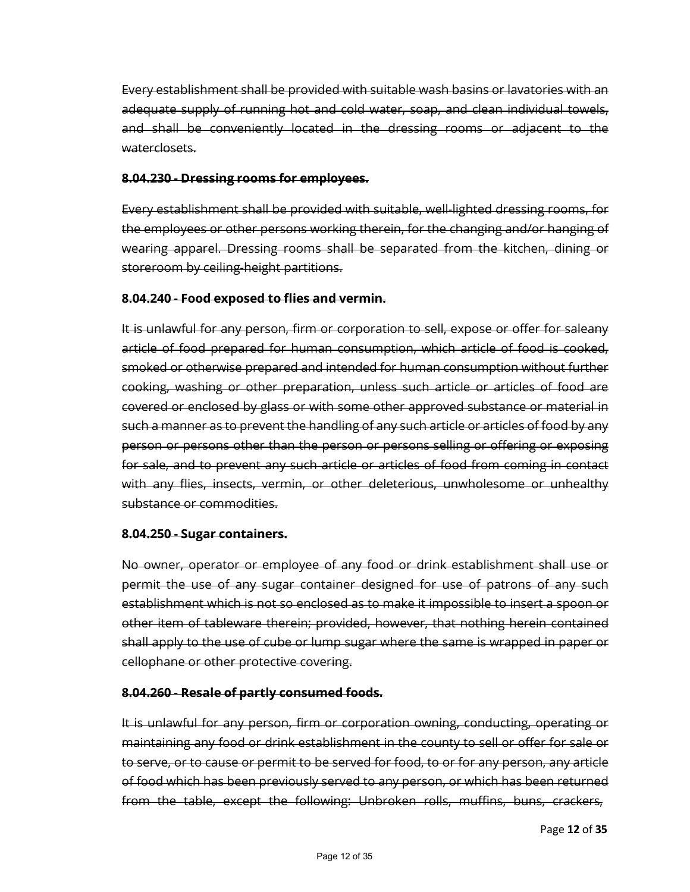Every establishment shall be provided with suitable wash basins or lavatories with an adequate supply of running hot and cold water, soap, and clean individual towels, and shall be conveniently located in the dressing rooms or adjacent to the waterclosets.

### **8.04.230 - Dressing rooms for employees.**

Every establishment shall be provided with suitable, well-lighted dressing rooms, for the employees or other persons working therein, for the changing and/or hanging of wearing apparel. Dressing rooms shall be separated from the kitchen, dining or storeroom by ceiling-height partitions.

### **8.04.240 - Food exposed to flies and vermin.**

It is unlawful for any person, firm or corporation to sell, expose or offer for saleany article of food prepared for human consumption, which article of food is cooked, smoked or otherwise prepared and intended for human consumption without further cooking, washing or other preparation, unless such article or articles of food are covered or enclosed by glass or with some other approved substance or material in such a manner as to prevent the handling of any such article or articles of food by any person or persons other than the person or persons selling or offering or exposing for sale, and to prevent any such article or articles of food from coming in contact with any flies, insects, vermin, or other deleterious, unwholesome or unhealthy substance or commodities.

### **8.04.250 - Sugar containers.**

No owner, operator or employee of any food or drink establishment shall use or permit the use of any sugar container designed for use of patrons of any such establishment which is not so enclosed as to make it impossible to insert a spoon or other item of tableware therein; provided, however, that nothing herein contained shall apply to the use of cube or lump sugar where the same is wrapped in paper or cellophane or other protective covering.

### **8.04.260 - Resale of partly consumed foods.**

It is unlawful for any person, firm or corporation owning, conducting, operating or maintaining any food or drink establishment in the county to sell or offer for sale or to serve, or to cause or permit to be served for food, to or for any person, any article of food which has been previously served to any person, or which has been returned from the table, except the following: Unbroken rolls, muffins, buns, crackers,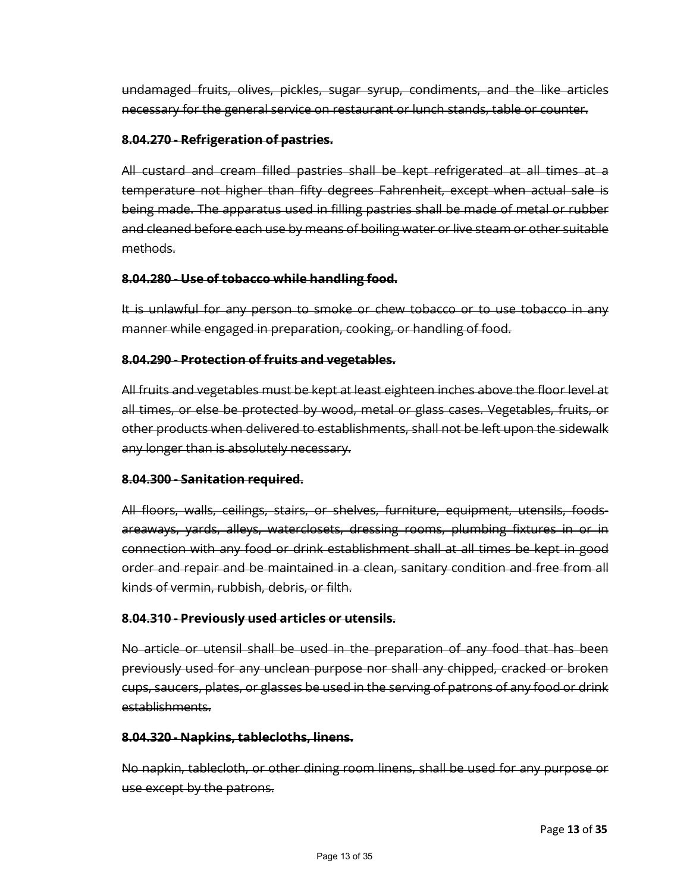undamaged fruits, olives, pickles, sugar syrup, condiments, and the like articles necessary for the general service on restaurant or lunch stands, table or counter.

### **8.04.270 - Refrigeration of pastries.**

All custard and cream filled pastries shall be kept refrigerated at all times at a temperature not higher than fifty degrees Fahrenheit, except when actual sale is being made. The apparatus used in filling pastries shall be made of metal or rubber and cleaned before each use by means of boiling water or live steam or other suitable methods.

### **8.04.280 - Use of tobacco while handling food.**

It is unlawful for any person to smoke or chew tobacco or to use tobacco in any manner while engaged in preparation, cooking, or handling of food.

### **8.04.290 - Protection of fruits and vegetables.**

All fruits and vegetables must be kept at least eighteen inches above the floor level at all times, or else be protected by wood, metal or glass cases. Vegetables, fruits, or other products when delivered to establishments, shall not be left upon the sidewalk any longer than is absolutely necessary.

### **8.04.300 - Sanitation required.**

All floors, walls, ceilings, stairs, or shelves, furniture, equipment, utensils, foodsareaways, yards, alleys, waterclosets, dressing rooms, plumbing fixtures in or in connection with any food or drink establishment shall at all times be kept in good order and repair and be maintained in a clean, sanitary condition and free from all kinds of vermin, rubbish, debris, or filth.

### **8.04.310 - Previously used articles or utensils.**

No article or utensil shall be used in the preparation of any food that has been previously used for any unclean purpose nor shall any chipped, cracked or broken cups, saucers, plates, or glasses be used in the serving of patrons of any food or drink establishments.

### **8.04.320 - Napkins, tablecloths, linens.**

No napkin, tablecloth, or other dining room linens, shall be used for any purpose or use except by the patrons.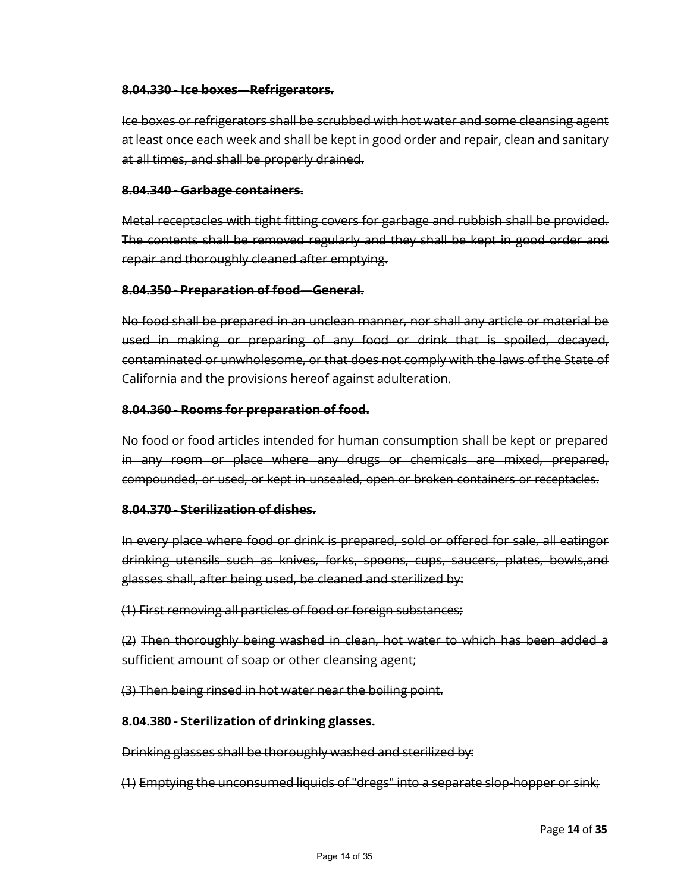### **8.04.330 - Ice boxes—Refrigerators.**

Ice boxes or refrigerators shall be scrubbed with hot water and some cleansing agent at least once each week and shall be kept in good order and repair, clean and sanitary at all times, and shall be properly drained.

#### **8.04.340 - Garbage containers.**

Metal receptacles with tight fitting covers for garbage and rubbish shall be provided. The contents shall be removed regularly and they shall be kept in good order and repair and thoroughly cleaned after emptying.

### **8.04.350 - Preparation of food—General.**

No food shall be prepared in an unclean manner, nor shall any article or material be used in making or preparing of any food or drink that is spoiled, decayed, contaminated or unwholesome, or that does not comply with the laws of the State of California and the provisions hereof against adulteration.

#### **8.04.360 - Rooms for preparation of food.**

No food or food articles intended for human consumption shall be kept or prepared in any room or place where any drugs or chemicals are mixed, prepared, compounded, or used, or kept in unsealed, open or broken containers or receptacles.

#### **8.04.370 - Sterilization of dishes.**

In every place where food or drink is prepared, sold or offered for sale, all eatingor drinking utensils such as knives, forks, spoons, cups, saucers, plates, bowls,and glasses shall, after being used, be cleaned and sterilized by:

(1) First removing all particles of food or foreign substances;

(2) Then thoroughly being washed in clean, hot water to which has been added a sufficient amount of soap or other cleansing agent;

(3) Then being rinsed in hot water near the boiling point.

### **8.04.380 - Sterilization of drinking glasses.**

Drinking glasses shall be thoroughly washed and sterilized by:

(1) Emptying the unconsumed liquids of "dregs" into a separate slop-hopper or sink;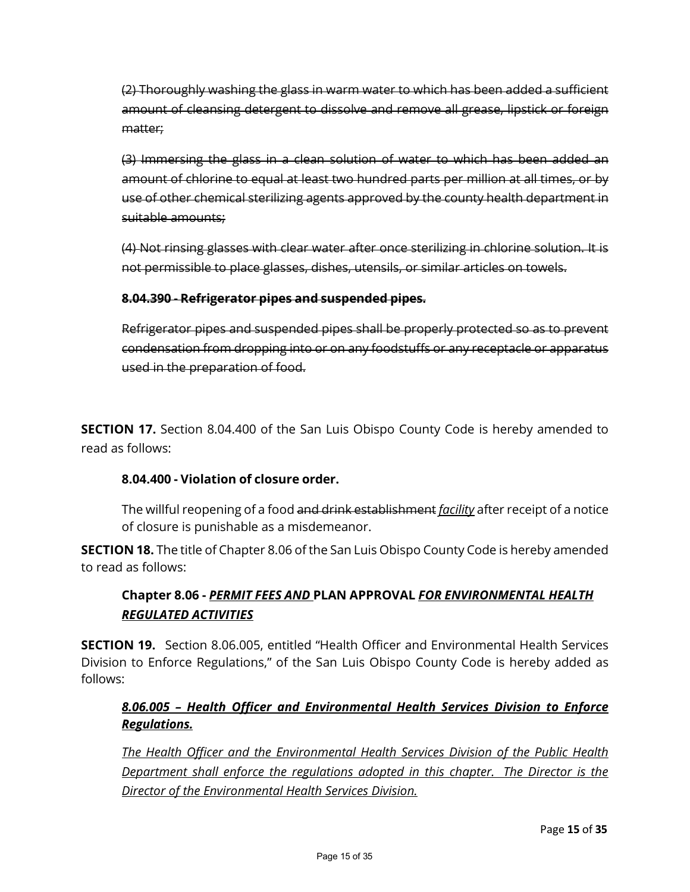(2) Thoroughly washing the glass in warm water to which has been added a sufficient amount of cleansing detergent to dissolve and remove all grease, lipstick or foreign matter;

(3) Immersing the glass in a clean solution of water to which has been added an amount of chlorine to equal at least two hundred parts per million at all times, or by use of other chemical sterilizing agents approved by the county health department in suitable amounts;

(4) Not rinsing glasses with clear water after once sterilizing in chlorine solution. It is not permissible to place glasses, dishes, utensils, or similar articles on towels.

## **8.04.390 - Refrigerator pipes and suspended pipes.**

Refrigerator pipes and suspended pipes shall be properly protected so as to prevent condensation from dropping into or on any foodstuffs or any receptacle or apparatus used in the preparation of food.

**SECTION 17.** Section 8.04.400 of the San Luis Obispo County Code is hereby amended to read as follows:

# **8.04.400 - Violation of closure order.**

The willful reopening of a food and drink establishment *facility* after receipt of a notice of closure is punishable as a misdemeanor.

**SECTION 18.** The title of Chapter 8.06 of the San Luis Obispo County Code is hereby amended to read as follows:

# **Chapter 8.06 -** *PERMIT FEES AND* **PLAN APPROVAL** *FOR ENVIRONMENTAL HEALTH REGULATED ACTIVITIES*

**SECTION 19.** Section 8.06.005, entitled "Health Officer and Environmental Health Services Division to Enforce Regulations," of the San Luis Obispo County Code is hereby added as follows:

# *8.06.005 – Health Officer and Environmental Health Services Division to Enforce Regulations.*

*The Health Officer and the Environmental Health Services Division of the Public Health Department shall enforce the regulations adopted in this chapter. The Director is the Director of the Environmental Health Services Division.*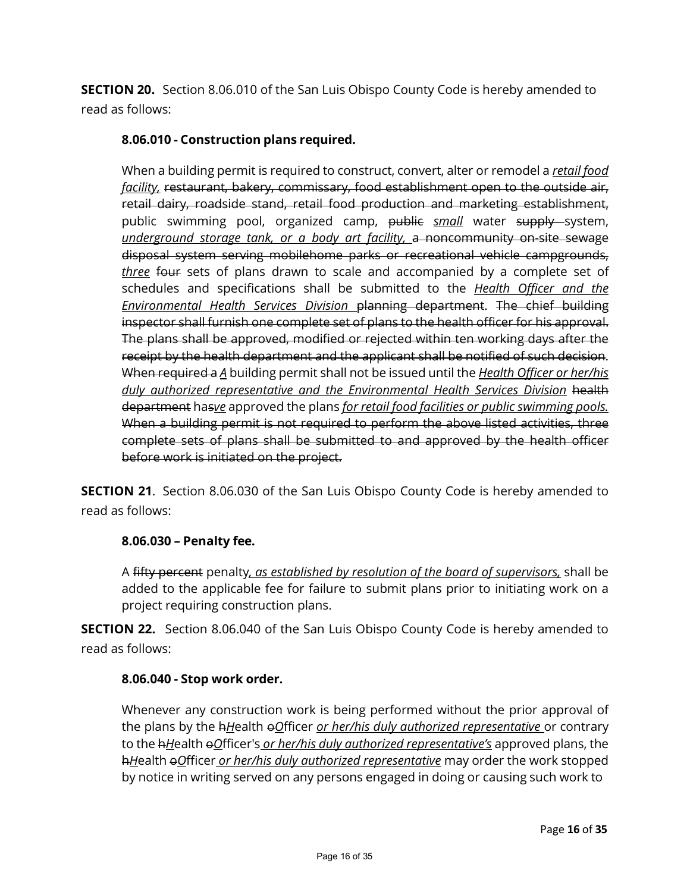**SECTION 20.** Section 8.06.010 of the San Luis Obispo County Code is hereby amended to read as follows:

## **8.06.010 - Construction plans required.**

When a building permit is required to construct, convert, alter or remodel a *retail food facility,* restaurant, bakery, commissary, food establishment open to the outside air, retail dairy, roadside stand, retail food production and marketing establishment, public swimming pool, organized camp, public *small* water supply system, *underground storage tank, or a body art facility,* a noncommunity on-site sewage disposal system serving mobilehome parks or recreational vehicle campgrounds, *three* four sets of plans drawn to scale and accompanied by a complete set of schedules and specifications shall be submitted to the *Health Officer and the Environmental Health Services Division* planning department. The chief building inspector shall furnish one complete set of plans to the health officer for his approval. The plans shall be approved, modified or rejected within ten working days after the receipt by the health department and the applicant shall be notified of such decision. When required a *A* building permit shall not be issued until the *Health Officer or her/his duly authorized representative and the Environmental Health Services Division* health department has*ve* approved the plans *for retail food facilities or public swimming pools.* When a building permit is not required to perform the above listed activities, three complete sets of plans shall be submitted to and approved by the health officer before work is initiated on the project.

**SECTION 21**. Section 8.06.030 of the San Luis Obispo County Code is hereby amended to read as follows:

## **8.06.030 – Penalty fee.**

A fifty percent penalty*, as established by resolution of the board of supervisors,* shall be added to the applicable fee for failure to submit plans prior to initiating work on a project requiring construction plans.

**SECTION 22.** Section 8.06.040 of the San Luis Obispo County Code is hereby amended to read as follows:

## **8.06.040 - Stop work order.**

Whenever any construction work is being performed without the prior approval of the plans by the h*H*ealth o*O*fficer *or her/his duly authorized representative* or contrary to the h*H*ealth o*O*fficer's *or her/his duly authorized representative's* approved plans, the h*H*ealth o*O*fficer *or her/his duly authorized representative* may order the work stopped by notice in writing served on any persons engaged in doing or causing such work to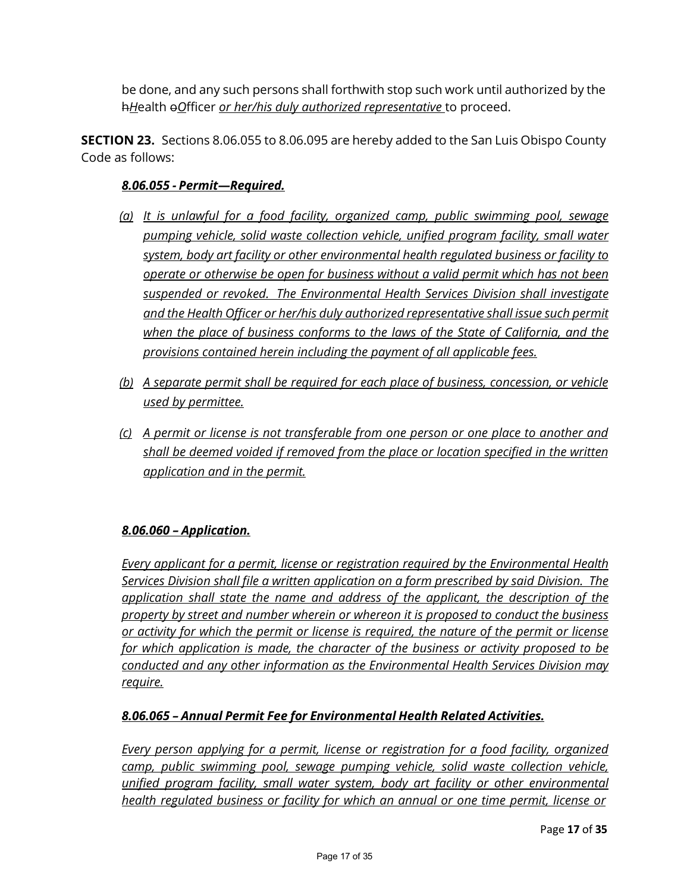be done, and any such persons shall forthwith stop such work until authorized by the h*H*ealth o*O*fficer *or her/his duly authorized representative* to proceed.

**SECTION 23.** Sections 8.06.055 to 8.06.095 are hereby added to the San Luis Obispo County Code as follows:

## *8.06.055 - Permit—Required.*

- *(a) It is unlawful for a food facility, organized camp, public swimming pool, sewage pumping vehicle, solid waste collection vehicle, unified program facility, small water system, body art facility or other environmental health regulated business or facility to operate or otherwise be open for business without a valid permit which has not been suspended or revoked. The Environmental Health Services Division shall investigate and the Health Officer or her/his duly authorized representative shall issue such permit when the place of business conforms to the laws of the State of California, and the provisions contained herein including the payment of all applicable fees.*
- *(b) A separate permit shall be required for each place of business, concession, or vehicle used by permittee.*
- *(c) A permit or license is not transferable from one person or one place to another and shall be deemed voided if removed from the place or location specified in the written application and in the permit.*

# *8.06.060 – Application.*

*Every applicant for a permit, license or registration required by the Environmental Health Services Division shall file a written application on a form prescribed by said Division. The application shall state the name and address of the applicant, the description of the property by street and number wherein or whereon it is proposed to conduct the business or activity for which the permit or license is required, the nature of the permit or license for which application is made, the character of the business or activity proposed to be conducted and any other information as the Environmental Health Services Division may require.*

## *8.06.065 – Annual Permit Fee for Environmental Health Related Activities.*

*Every person applying for a permit, license or registration for a food facility, organized camp, public swimming pool, sewage pumping vehicle, solid waste collection vehicle, unified program facility, small water system, body art facility or other environmental health regulated business or facility for which an annual or one time permit, license or*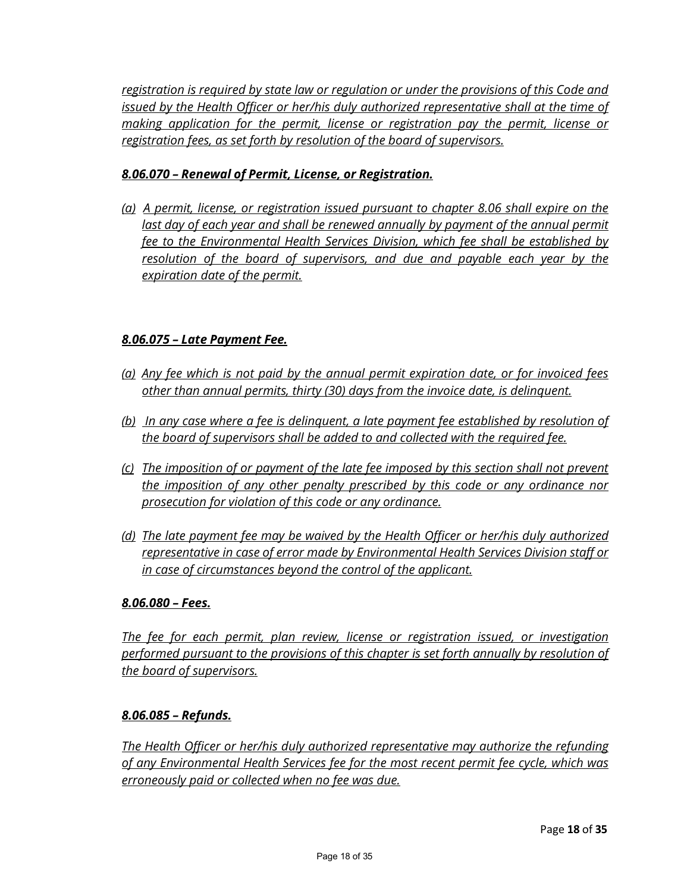*registration is required by state law or regulation or under the provisions of this Code and issued by the Health Officer or her/his duly authorized representative shall at the time of making application for the permit, license or registration pay the permit, license or registration fees, as set forth by resolution of the board of supervisors.*

## *8.06.070 – Renewal of Permit, License, or Registration.*

*(a) A permit, license, or registration issued pursuant to chapter 8.06 shall expire on the last day of each year and shall be renewed annually by payment of the annual permit fee to the Environmental Health Services Division, which fee shall be established by resolution of the board of supervisors, and due and payable each year by the expiration date of the permit.*

## *8.06.075 – Late Payment Fee.*

- *(a) Any fee which is not paid by the annual permit expiration date, or for invoiced fees other than annual permits, thirty (30) days from the invoice date, is delinquent.*
- *(b) In any case where a fee is delinquent, a late payment fee established by resolution of the board of supervisors shall be added to and collected with the required fee.*
- *(c) The imposition of or payment of the late fee imposed by this section shall not prevent the imposition of any other penalty prescribed by this code or any ordinance nor prosecution for violation of this code or any ordinance.*
- *(d) The late payment fee may be waived by the Health Officer or her/his duly authorized representative in case of error made by Environmental Health Services Division staff or in case of circumstances beyond the control of the applicant.*

## *8.06.080 – Fees.*

*The fee for each permit, plan review, license or registration issued, or investigation performed pursuant to the provisions of this chapter is set forth annually by resolution of the board of supervisors.*

## *8.06.085 – Refunds.*

*The Health Officer or her/his duly authorized representative may authorize the refunding of any Environmental Health Services fee for the most recent permit fee cycle, which was erroneously paid or collected when no fee was due.*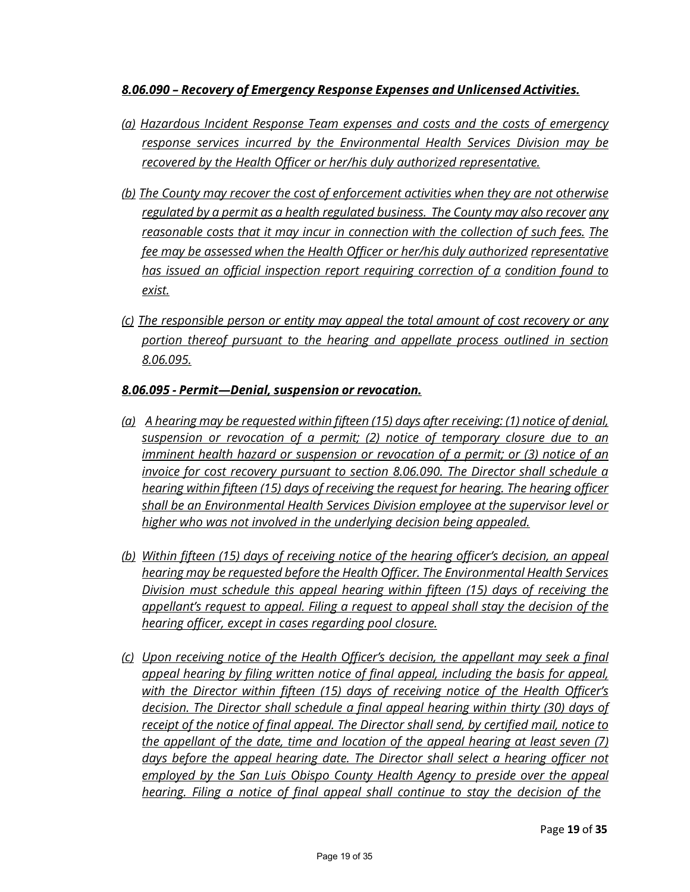## *8.06.090 – Recovery of Emergency Response Expenses and Unlicensed Activities.*

- *(a) Hazardous Incident Response Team expenses and costs and the costs of emergency response services incurred by the Environmental Health Services Division may be recovered by the Health Officer or her/his duly authorized representative.*
- *(b) The County may recover the cost of enforcement activities when they are not otherwise regulated by a permit as a health regulated business. The County may also recover any reasonable costs that it may incur in connection with the collection of such fees. The fee may be assessed when the Health Officer or her/his duly authorized representative has issued an official inspection report requiring correction of a condition found to exist.*
- *(c) The responsible person or entity may appeal the total amount of cost recovery or any portion thereof pursuant to the hearing and appellate process outlined in section 8.06.095.*

## *8.06.095 - Permit—Denial, suspension or revocation.*

- *(a) A hearing may be requested within fifteen (15) days after receiving: (1) notice of denial, suspension or revocation of a permit; (2) notice of temporary closure due to an imminent health hazard or suspension or revocation of a permit; or (3) notice of an invoice for cost recovery pursuant to section 8.06.090. The Director shall schedule a hearing within fifteen (15) days of receiving the request for hearing. The hearing officer shall be an Environmental Health Services Division employee at the supervisor level or higher who was not involved in the underlying decision being appealed.*
- *(b) Within fifteen (15) days of receiving notice of the hearing officer's decision, an appeal hearing may be requested before the Health Officer. The Environmental Health Services Division must schedule this appeal hearing within fifteen (15) days of receiving the appellant's request to appeal. Filing a request to appeal shall stay the decision of the hearing officer, except in cases regarding pool closure.*
- *(c) Upon receiving notice of the Health Officer's decision, the appellant may seek a final appeal hearing by filing written notice of final appeal, including the basis for appeal, with the Director within fifteen (15) days of receiving notice of the Health Officer's decision. The Director shall schedule a final appeal hearing within thirty (30) days of receipt of the notice of final appeal. The Director shall send, by certified mail, notice to the appellant of the date, time and location of the appeal hearing at least seven (7) days before the appeal hearing date. The Director shall select a hearing officer not employed by the San Luis Obispo County Health Agency to preside over the appeal hearing. Filing a notice of final appeal shall continue to stay the decision of the*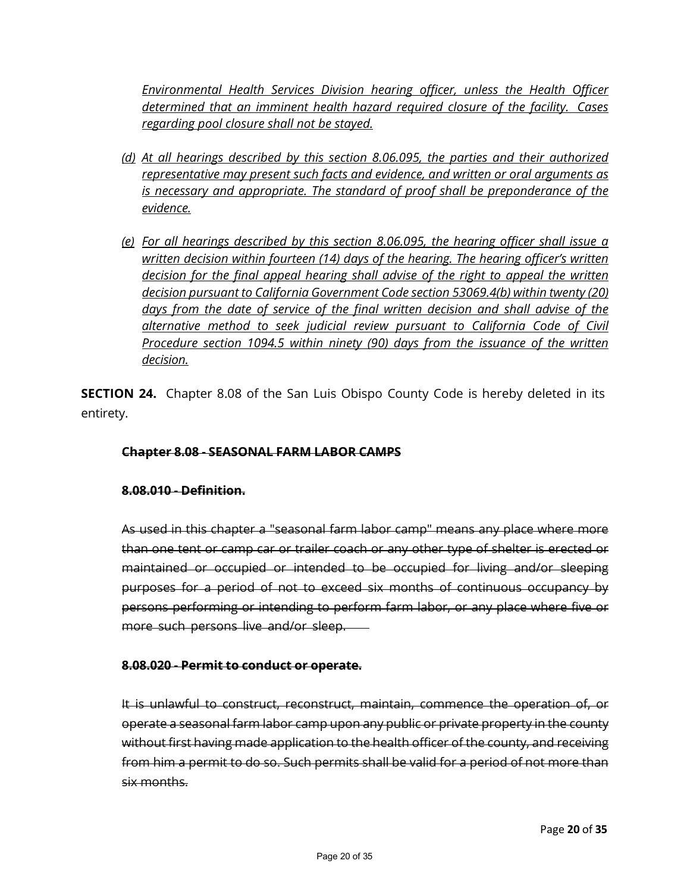*Environmental Health Services Division hearing officer, unless the Health Officer determined that an imminent health hazard required closure of the facility. Cases regarding pool closure shall not be stayed.*

- *(d) At all hearings described by this section 8.06.095, the parties and their authorized representative may present such facts and evidence, and written or oral arguments as is necessary and appropriate. The standard of proof shall be preponderance of the evidence.*
- *(e) For all hearings described by this section 8.06.095, the hearing officer shall issue a written decision within fourteen (14) days of the hearing. The hearing officer's written decision for the final appeal hearing shall advise of the right to appeal the written decision pursuant to California Government Code section 53069.4(b) within twenty (20) days from the date of service of the final written decision and shall advise of the alternative method to seek judicial review pursuant to California Code of Civil Procedure section 1094.5 within ninety (90) days from the issuance of the written decision.*

**SECTION 24.** Chapter 8.08 of the San Luis Obispo County Code is hereby deleted in its entirety.

## **Chapter 8.08 - SEASONAL FARM LABOR CAMPS**

## **8.08.010 - Definition.**

As used in this chapter a "seasonal farm labor camp" means any place where more than one tent or camp car or trailer coach or any other type of shelter is erected or maintained or occupied or intended to be occupied for living and/or sleeping purposes for a period of not to exceed six months of continuous occupancy by persons performing or intending to perform farm labor, or any place where five or more such persons live and/or sleep.

### **8.08.020 - Permit to conduct or operate.**

It is unlawful to construct, reconstruct, maintain, commence the operation of, or operate a seasonal farm labor camp upon any public or private property in the county without first having made application to the health officer of the county, and receiving from him a permit to do so. Such permits shall be valid for a period of not more than six months.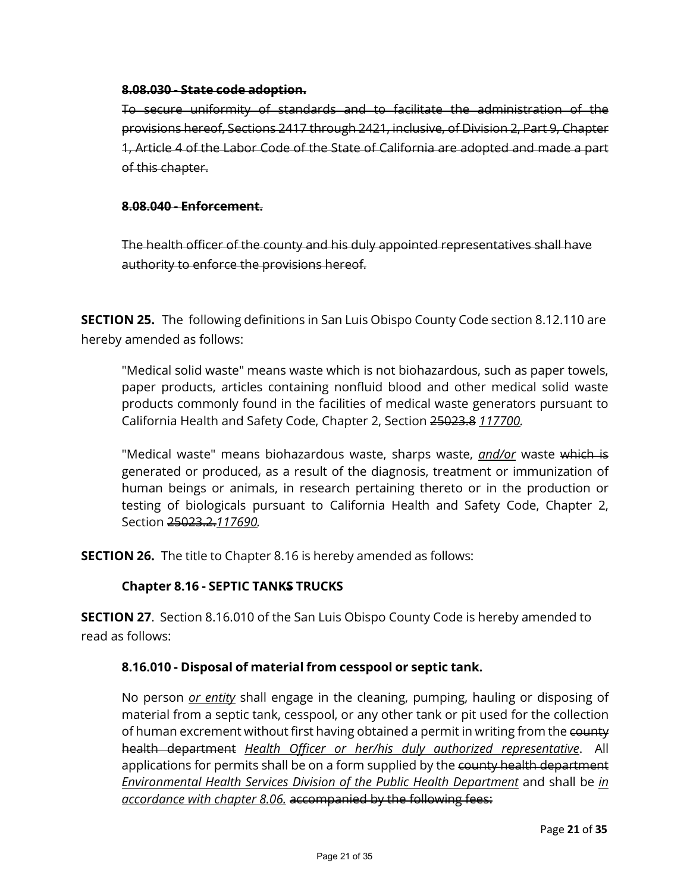### **8.08.030 - State code adoption.**

To secure uniformity of standards and to facilitate the administration of the provisions hereof, Sections 2417 through 2421, inclusive, of Division 2, Part 9, Chapter 1, Article 4 of the Labor Code of the State of California are adopted and made a part of this chapter.

#### **8.08.040 - Enforcement.**

The health officer of the county and his duly appointed representatives shall have authority to enforce the provisions hereof.

**SECTION 25.** The following definitions in San Luis Obispo County Code section 8.12.110 are hereby amended as follows:

"Medical solid waste" means waste which is not biohazardous, such as paper towels, paper products, articles containing nonfluid blood and other medical solid waste products commonly found in the facilities of medical waste generators pursuant to California Health and Safety Code, Chapter 2, Section 25023.8 *117700.* 

"Medical waste" means biohazardous waste, sharps waste, *and/or* waste which is generated or produced, as a result of the diagnosis, treatment or immunization of human beings or animals, in research pertaining thereto or in the production or testing of biologicals pursuant to California Health and Safety Code, Chapter 2, Section 25023.2.*117690.* 

**SECTION 26.** The title to Chapter 8.16 is hereby amended as follows:

## **Chapter 8.16 - SEPTIC TANKS TRUCKS**

**SECTION 27**. Section 8.16.010 of the San Luis Obispo County Code is hereby amended to read as follows:

### **8.16.010 - Disposal of material from cesspool or septic tank.**

No person *or entity* shall engage in the cleaning, pumping, hauling or disposing of material from a septic tank, cesspool, or any other tank or pit used for the collection of human excrement without first having obtained a permit in writing from the county health department *Health Officer or her/his duly authorized representative*. All applications for permits shall be on a form supplied by the county health department *Environmental Health Services Division of the Public Health Department* and shall be *in accordance with chapter 8.06.* accompanied by the following fees: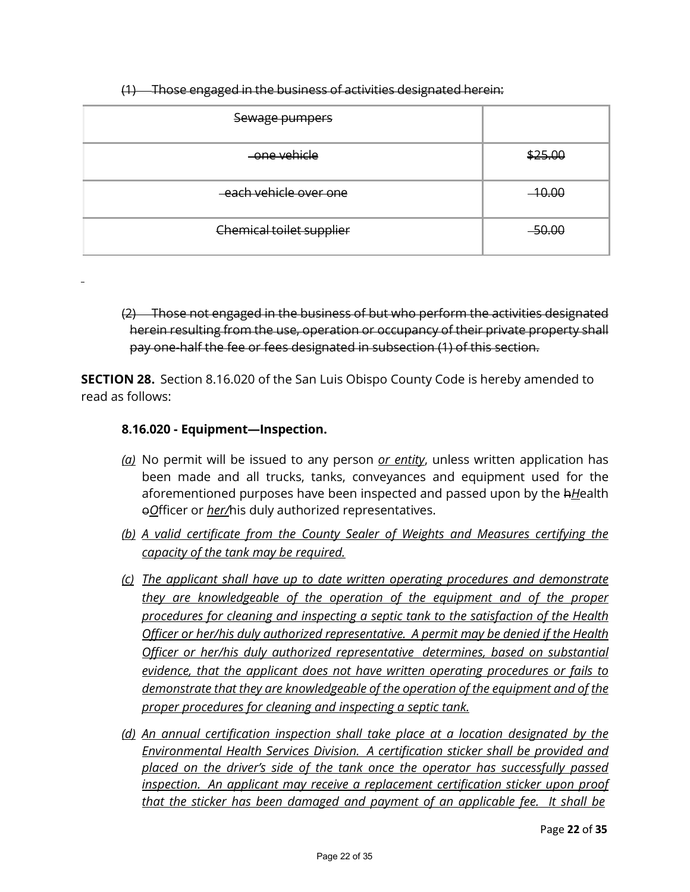| Sewage pumpers           |               |
|--------------------------|---------------|
| one vehicle              | \$25.00       |
| -each vehicle over one   | <u> 10.00</u> |
| Chemical toilet supplier |               |

### (1) Those engaged in the business of activities designated herein:

(2) Those not engaged in the business of but who perform the activities designated herein resulting from the use, operation or occupancy of their private property shall pay one-half the fee or fees designated in subsection (1) of this section.

**SECTION 28.** Section 8.16.020 of the San Luis Obispo County Code is hereby amended to read as follows:

## **8.16.020 - Equipment—Inspection.**

L.

- *(a)* No permit will be issued to any person *or entity*, unless written application has been made and all trucks, tanks, conveyances and equipment used for the aforementioned purposes have been inspected and passed upon by the h*H*ealth  $\frac{\Theta O}{\Theta}$ fficer or *her/*his duly authorized representatives.
- *(b) A valid certificate from the County Sealer of Weights and Measures certifying the capacity of the tank may be required.*
- *(c) The applicant shall have up to date written operating procedures and demonstrate they are knowledgeable of the operation of the equipment and of the proper procedures for cleaning and inspecting a septic tank to the satisfaction of the Health Officer or her/his duly authorized representative. A permit may be denied if the Health Officer or her/his duly authorized representative determines, based on substantial evidence, that the applicant does not have written operating procedures or fails to demonstrate that they are knowledgeable of the operation of the equipment and of the proper procedures for cleaning and inspecting a septic tank.*
- *(d) An annual certification inspection shall take place at a location designated by the Environmental Health Services Division. A certification sticker shall be provided and placed on the driver's side of the tank once the operator has successfully passed inspection. An applicant may receive a replacement certification sticker upon proof that the sticker has been damaged and payment of an applicable fee. It shall be*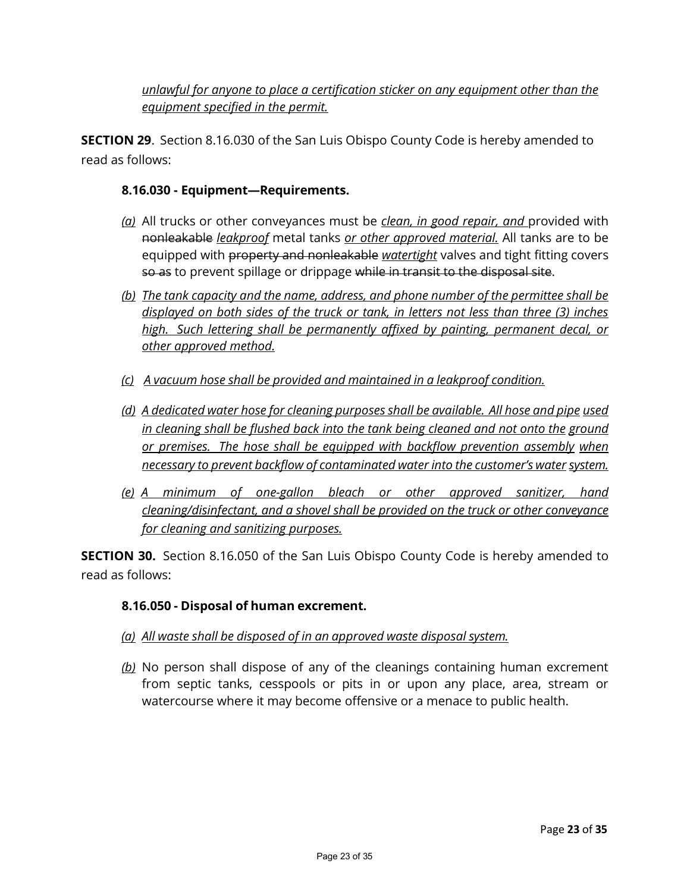*unlawful for anyone to place a certification sticker on any equipment other than the equipment specified in the permit.*

**SECTION 29**. Section 8.16.030 of the San Luis Obispo County Code is hereby amended to read as follows:

## **8.16.030 - Equipment—Requirements.**

- *(a)* All trucks or other conveyances must be *clean, in good repair, and* provided with nonleakable *leakproof* metal tanks *or other approved material.* All tanks are to be equipped with property and nonleakable *watertight* valves and tight fitting covers so as to prevent spillage or drippage while in transit to the disposal site.
- *(b) The tank capacity and the name, address, and phone number of the permittee shall be displayed on both sides of the truck or tank, in letters not less than three (3) inches high. Such lettering shall be permanently affixed by painting, permanent decal, or other approved method.*
- *(c) A vacuum hose shall be provided and maintained in a leakproof condition.*
- *(d) A dedicated water hose for cleaning purposes shall be available. All hose and pipe used in cleaning shall be flushed back into the tank being cleaned and not onto the ground or premises. The hose shall be equipped with backflow prevention assembly when necessary to prevent backflow of contaminated water into the customer's water system.*
- *(e) A minimum of one-gallon bleach or other approved sanitizer, hand cleaning/disinfectant, and a shovel shall be provided on the truck or other conveyance for cleaning and sanitizing purposes.*

**SECTION 30.** Section 8.16.050 of the San Luis Obispo County Code is hereby amended to read as follows:

# **8.16.050 - Disposal of human excrement.**

- *(a) All waste shall be disposed of in an approved waste disposal system.*
- *(b)* No person shall dispose of any of the cleanings containing human excrement from septic tanks, cesspools or pits in or upon any place, area, stream or watercourse where it may become offensive or a menace to public health.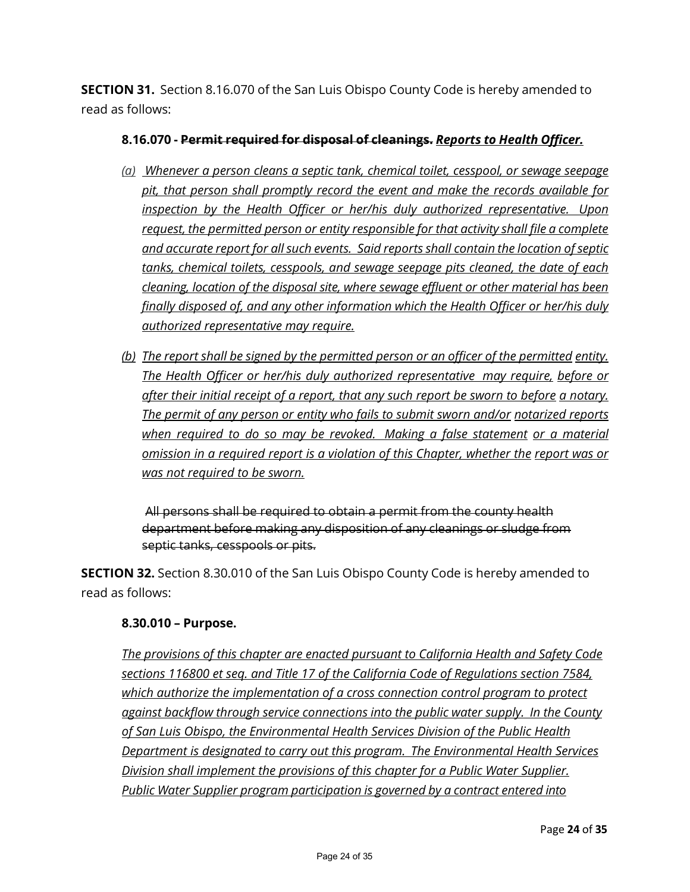**SECTION 31.** Section 8.16.070 of the San Luis Obispo County Code is hereby amended to read as follows:

## **8.16.070 - Permit required for disposal of cleanings.** *Reports to Health Officer.*

- *(a) Whenever a person cleans a septic tank, chemical toilet, cesspool, or sewage seepage pit, that person shall promptly record the event and make the records available for inspection by the Health Officer or her/his duly authorized representative. Upon request, the permitted person or entity responsible for that activity shall file a complete and accurate report for all such events. Said reports shall contain the location of septic tanks, chemical toilets, cesspools, and sewage seepage pits cleaned, the date of each cleaning, location of the disposal site, where sewage effluent or other material has been finally disposed of, and any other information which the Health Officer or her/his duly authorized representative may require.*
- *(b) The report shall be signed by the permitted person or an officer of the permitted entity. The Health Officer or her/his duly authorized representative may require, before or after their initial receipt of a report, that any such report be sworn to before a notary. The permit of any person or entity who fails to submit sworn and/or notarized reports when required to do so may be revoked. Making a false statement or a material omission in a required report is a violation of this Chapter, whether the report was or was not required to be sworn.*

All persons shall be required to obtain a permit from the county health department before making any disposition of any cleanings or sludge from septic tanks, cesspools or pits.

**SECTION 32.** Section 8.30.010 of the San Luis Obispo County Code is hereby amended to read as follows:

## **8.30.010 – Purpose.**

*The provisions of this chapter are enacted pursuant to California Health and Safety Code sections 116800 et seq. and Title 17 of the California Code of Regulations section 7584, which authorize the implementation of a cross connection control program to protect against backflow through service connections into the public water supply. In the County of San Luis Obispo, the Environmental Health Services Division of the Public Health Department is designated to carry out this program. The Environmental Health Services Division shall implement the provisions of this chapter for a Public Water Supplier. Public Water Supplier program participation is governed by a contract entered into*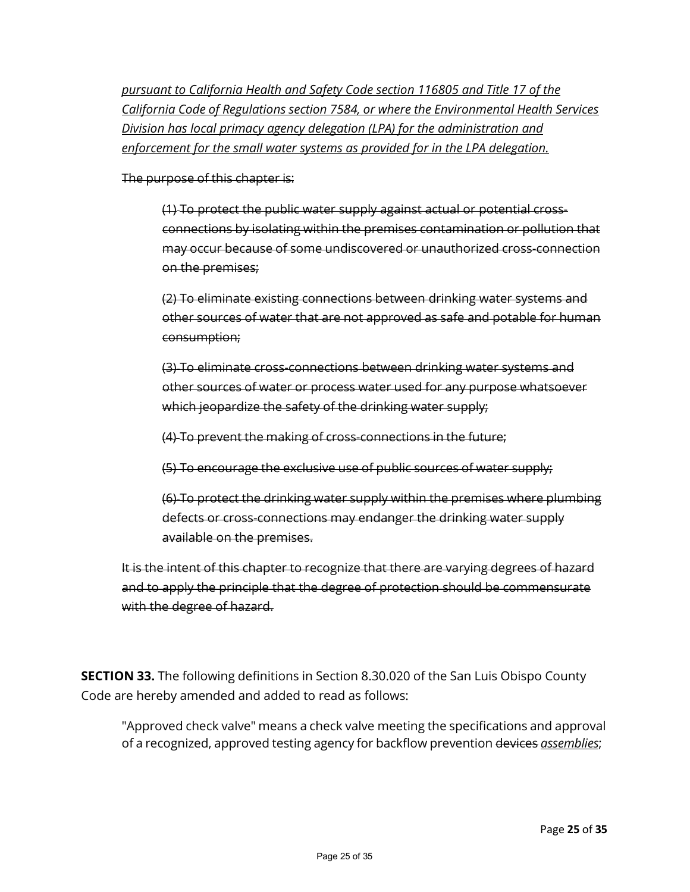*pursuant to California Health and Safety Code section 116805 and Title 17 of the California Code of Regulations section 7584, or where the Environmental Health Services Division has local primacy agency delegation (LPA) for the administration and enforcement for the small water systems as provided for in the LPA delegation.*

The purpose of this chapter is:

(1) To protect the public water supply against actual or potential crossconnections by isolating within the premises contamination or pollution that may occur because of some undiscovered or unauthorized cross-connection on the premises;

(2) To eliminate existing connections between drinking water systems and other sources of water that are not approved as safe and potable for human consumption;

(3) To eliminate cross-connections between drinking water systems and other sources of water or process water used for any purpose whatsoever which jeopardize the safety of the drinking water supply;

(4) To prevent the making of cross-connections in the future;

(5) To encourage the exclusive use of public sources of water supply;

(6) To protect the drinking water supply within the premises where plumbing defects or cross-connections may endanger the drinking water supply available on the premises.

It is the intent of this chapter to recognize that there are varying degrees of hazard and to apply the principle that the degree of protection should be commensurate with the degree of hazard.

**SECTION 33.** The following definitions in Section 8.30.020 of the San Luis Obispo County Code are hereby amended and added to read as follows:

"Approved check valve" means a check valve meeting the specifications and approval of a recognized, approved testing agency for backflow prevention devices *assemblies*;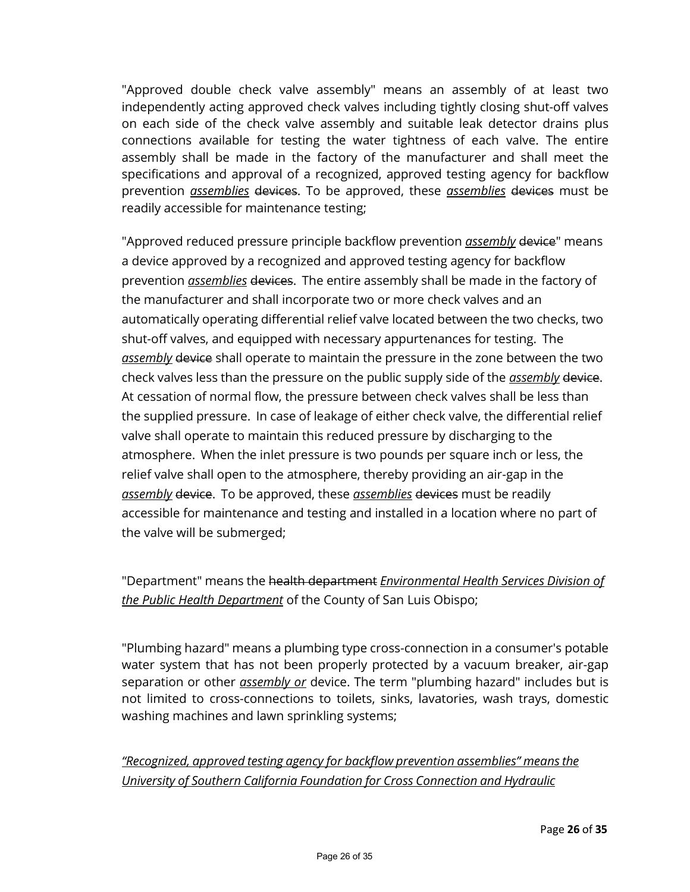"Approved double check valve assembly" means an assembly of at least two independently acting approved check valves including tightly closing shut-off valves on each side of the check valve assembly and suitable leak detector drains plus connections available for testing the water tightness of each valve. The entire assembly shall be made in the factory of the manufacturer and shall meet the specifications and approval of a recognized, approved testing agency for backflow prevention *assemblies* devices. To be approved, these *assemblies* devices must be readily accessible for maintenance testing;

"Approved reduced pressure principle backflow prevention *assembly* device" means a device approved by a recognized and approved testing agency for backflow prevention *assemblies* devices. The entire assembly shall be made in the factory of the manufacturer and shall incorporate two or more check valves and an automatically operating differential relief valve located between the two checks, two shut-off valves, and equipped with necessary appurtenances for testing. The *assembly* device shall operate to maintain the pressure in the zone between the two check valves less than the pressure on the public supply side of the *assembly* device. At cessation of normal flow, the pressure between check valves shall be less than the supplied pressure. In case of leakage of either check valve, the differential relief valve shall operate to maintain this reduced pressure by discharging to the atmosphere. When the inlet pressure is two pounds per square inch or less, the relief valve shall open to the atmosphere, thereby providing an air-gap in the *assembly* device. To be approved, these *assemblies* devices must be readily accessible for maintenance and testing and installed in a location where no part of the valve will be submerged;

"Department" means the health department *Environmental Health Services Division of the Public Health Department* of the County of San Luis Obispo;

"Plumbing hazard" means a plumbing type cross-connection in a consumer's potable water system that has not been properly protected by a vacuum breaker, air-gap separation or other *assembly or* device. The term "plumbing hazard" includes but is not limited to cross-connections to toilets, sinks, lavatories, wash trays, domestic washing machines and lawn sprinkling systems;

*"Recognized, approved testing agency for backflow prevention assemblies" means the University of Southern California Foundation for Cross Connection and Hydraulic*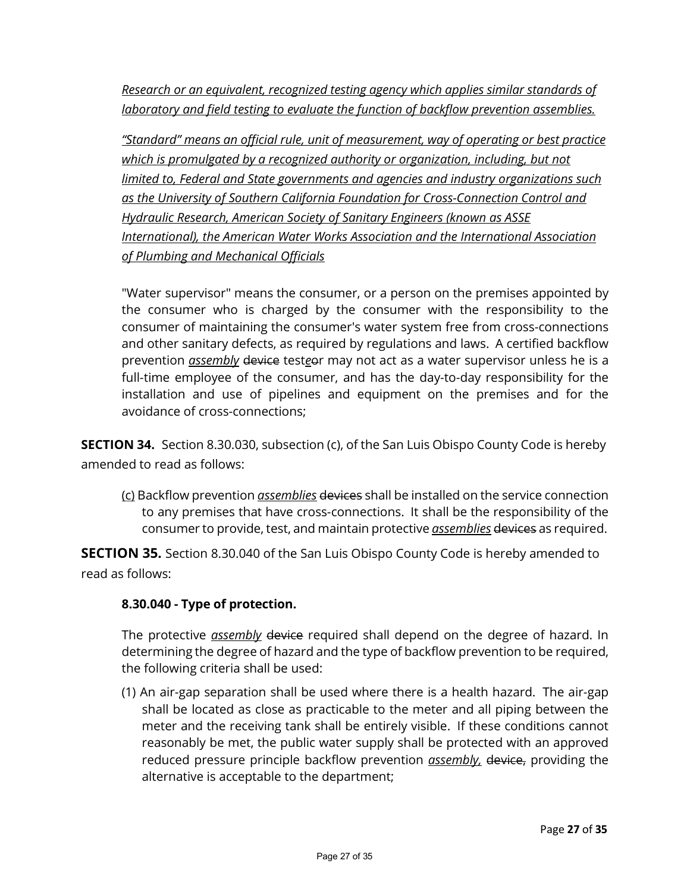*Research or an equivalent, recognized testing agency which applies similar standards of laboratory and field testing to evaluate the function of backflow prevention assemblies.*

*"Standard" means an official rule, unit of measurement, way of operating or best practice which is promulgated by a recognized authority or organization, including, but not limited to, Federal and State governments and agencies and industry organizations such as the University of Southern California Foundation for Cross-Connection Control and Hydraulic Research, American Society of Sanitary Engineers (known as ASSE International), the American Water Works Association and the International Association of Plumbing and Mechanical Officials*

"Water supervisor" means the consumer, or a person on the premises appointed by the consumer who is charged by the consumer with the responsibility to the consumer of maintaining the consumer's water system free from cross-connections and other sanitary defects, as required by regulations and laws. A certified backflow prevention *assembly* device test*e*or may not act as a water supervisor unless he is a full-time employee of the consumer, and has the day-to-day responsibility for the installation and use of pipelines and equipment on the premises and for the avoidance of cross-connections;

**SECTION 34.** Section 8.30.030, subsection (c), of the San Luis Obispo County Code is hereby amended to read as follows:

(c) Backflow prevention *assemblies* devices shall be installed on the service connection to any premises that have cross-connections. It shall be the responsibility of the consumer to provide, test, and maintain protective *assemblies* devices as required.

**SECTION 35.** Section 8.30.040 of the San Luis Obispo County Code is hereby amended to read as follows:

# **8.30.040 - Type of protection.**

The protective *assembly* device required shall depend on the degree of hazard. In determining the degree of hazard and the type of backflow prevention to be required, the following criteria shall be used:

(1) An air-gap separation shall be used where there is a health hazard. The air-gap shall be located as close as practicable to the meter and all piping between the meter and the receiving tank shall be entirely visible. If these conditions cannot reasonably be met, the public water supply shall be protected with an approved reduced pressure principle backflow prevention *assembly,* device, providing the alternative is acceptable to the department;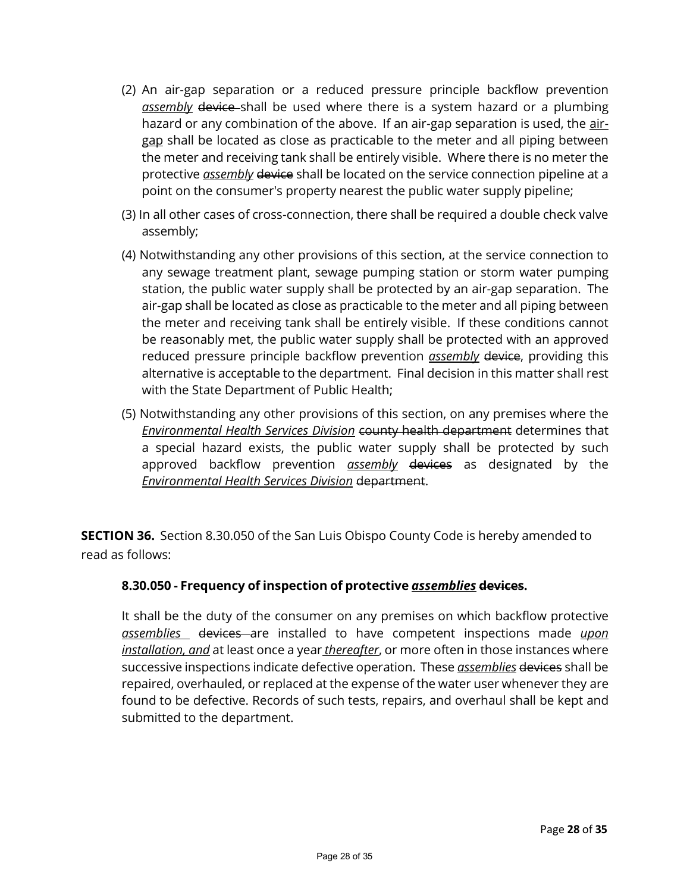- (2) An air-gap separation or a reduced pressure principle backflow prevention *assembly* device shall be used where there is a system hazard or a plumbing hazard or any combination of the above. If an air-gap separation is used, the airgap shall be located as close as practicable to the meter and all piping between the meter and receiving tank shall be entirely visible. Where there is no meter the protective *assembly* device shall be located on the service connection pipeline at a point on the consumer's property nearest the public water supply pipeline;
- (3) In all other cases of cross-connection, there shall be required a double check valve assembly;
- (4) Notwithstanding any other provisions of this section, at the service connection to any sewage treatment plant, sewage pumping station or storm water pumping station, the public water supply shall be protected by an air-gap separation. The air-gap shall be located as close as practicable to the meter and all piping between the meter and receiving tank shall be entirely visible. If these conditions cannot be reasonably met, the public water supply shall be protected with an approved reduced pressure principle backflow prevention *assembly* device, providing this alternative is acceptable to the department. Final decision in this matter shall rest with the State Department of Public Health;
- (5) Notwithstanding any other provisions of this section, on any premises where the *Environmental Health Services Division* county health department determines that a special hazard exists, the public water supply shall be protected by such approved backflow prevention *assembly* devices as designated by the *Environmental Health Services Division* department.

**SECTION 36.** Section 8.30.050 of the San Luis Obispo County Code is hereby amended to read as follows:

## **8.30.050 - Frequency of inspection of protective** *assemblies* **devices.**

It shall be the duty of the consumer on any premises on which backflow protective *assemblies* devices are installed to have competent inspections made *upon installation, and* at least once a year *thereafter*, or more often in those instances where successive inspections indicate defective operation. These *assemblies* devices shall be repaired, overhauled, or replaced at the expense of the water user whenever they are found to be defective. Records of such tests, repairs, and overhaul shall be kept and submitted to the department.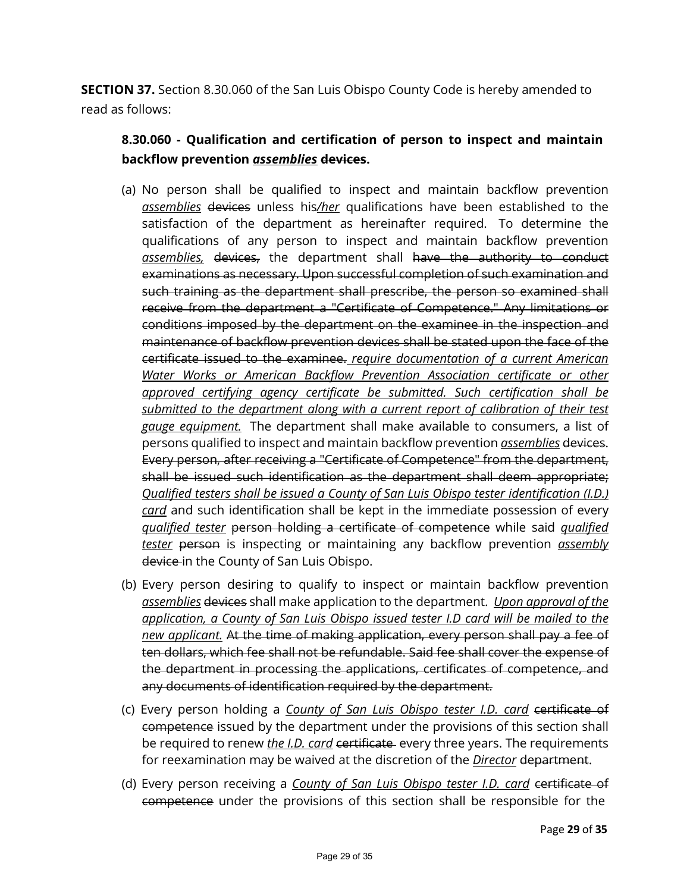**SECTION 37.** Section 8.30.060 of the San Luis Obispo County Code is hereby amended to read as follows:

# **8.30.060 - Qualification and certification of person to inspect and maintain backflow prevention** *assemblies* **devices.**

- (a) No person shall be qualified to inspect and maintain backflow prevention *assemblies* devices unless his*/her* qualifications have been established to the satisfaction of the department as hereinafter required. To determine the qualifications of any person to inspect and maintain backflow prevention *assemblies,* devices, the department shall have the authority to conduct examinations as necessary. Upon successful completion of such examination and such training as the department shall prescribe, the person so examined shall receive from the department a "Certificate of Competence." Any limitations or conditions imposed by the department on the examinee in the inspection and maintenance of backflow prevention devices shall be stated upon the face of the certificate issued to the examinee. *require documentation of a current American Water Works or American Backflow Prevention Association certificate or other approved certifying agency certificate be submitted. Such certification shall be submitted to the department along with a current report of calibration of their test gauge equipment.* The department shall make available to consumers, a list of persons qualified to inspect and maintain backflow prevention *assemblies* devices. Every person, after receiving a "Certificate of Competence" from the department, shall be issued such identification as the department shall deem appropriate; *Qualified testers shall be issued a County of San Luis Obispo tester identification (I.D.) card* and such identification shall be kept in the immediate possession of every *qualified tester* person holding a certificate of competence while said *qualified tester* person is inspecting or maintaining any backflow prevention *assembly* device in the County of San Luis Obispo.
- (b) Every person desiring to qualify to inspect or maintain backflow prevention *assemblies* devices shall make application to the department. *Upon approval of the application, a County of San Luis Obispo issued tester I.D card will be mailed to the new applicant.* At the time of making application, every person shall pay a fee of ten dollars, which fee shall not be refundable. Said fee shall cover the expense of the department in processing the applications, certificates of competence, and any documents of identification required by the department.
- (c) Every person holding a *County of San Luis Obispo tester I.D. card* certificate of competence issued by the department under the provisions of this section shall be required to renew *the I.D. card* certificate every three years. The requirements for reexamination may be waived at the discretion of the *Director* department.
- (d) Every person receiving a *County of San Luis Obispo tester I.D. card* certificate of competence under the provisions of this section shall be responsible for the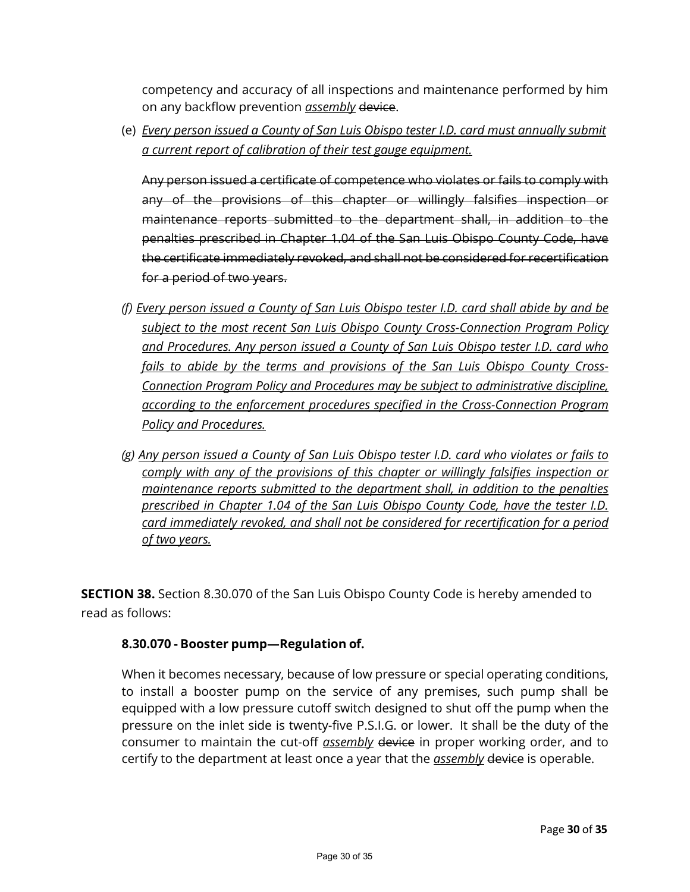competency and accuracy of all inspections and maintenance performed by him on any backflow prevention *assembly* device.

(e) *Every person issued a County of San Luis Obispo tester I.D. card must annually submit a current report of calibration of their test gauge equipment.*

Any person issued a certificate of competence who violates or fails to comply with any of the provisions of this chapter or willingly falsifies inspection or maintenance reports submitted to the department shall, in addition to the penalties prescribed in Chapter 1.04 of the San Luis Obispo County Code, have the certificate immediately revoked, and shall not be considered for recertification for a period of two years.

- *(f) Every person issued a County of San Luis Obispo tester I.D. card shall abide by and be subject to the most recent San Luis Obispo County Cross-Connection Program Policy and Procedures. Any person issued a County of San Luis Obispo tester I.D. card who fails to abide by the terms and provisions of the San Luis Obispo County Cross-Connection Program Policy and Procedures may be subject to administrative discipline, according to the enforcement procedures specified in the Cross-Connection Program Policy and Procedures.*
- *(g) Any person issued a County of San Luis Obispo tester I.D. card who violates or fails to comply with any of the provisions of this chapter or willingly falsifies inspection or maintenance reports submitted to the department shall, in addition to the penalties prescribed in Chapter 1.04 of the San Luis Obispo County Code, have the tester I.D. card immediately revoked, and shall not be considered for recertification for a period of two years.*

**SECTION 38.** Section 8.30.070 of the San Luis Obispo County Code is hereby amended to read as follows:

# **8.30.070 - Booster pump—Regulation of.**

When it becomes necessary, because of low pressure or special operating conditions, to install a booster pump on the service of any premises, such pump shall be equipped with a low pressure cutoff switch designed to shut off the pump when the pressure on the inlet side is twenty-five P.S.I.G. or lower. It shall be the duty of the consumer to maintain the cut-off *assembly* device in proper working order, and to certify to the department at least once a year that the *assembly* device is operable.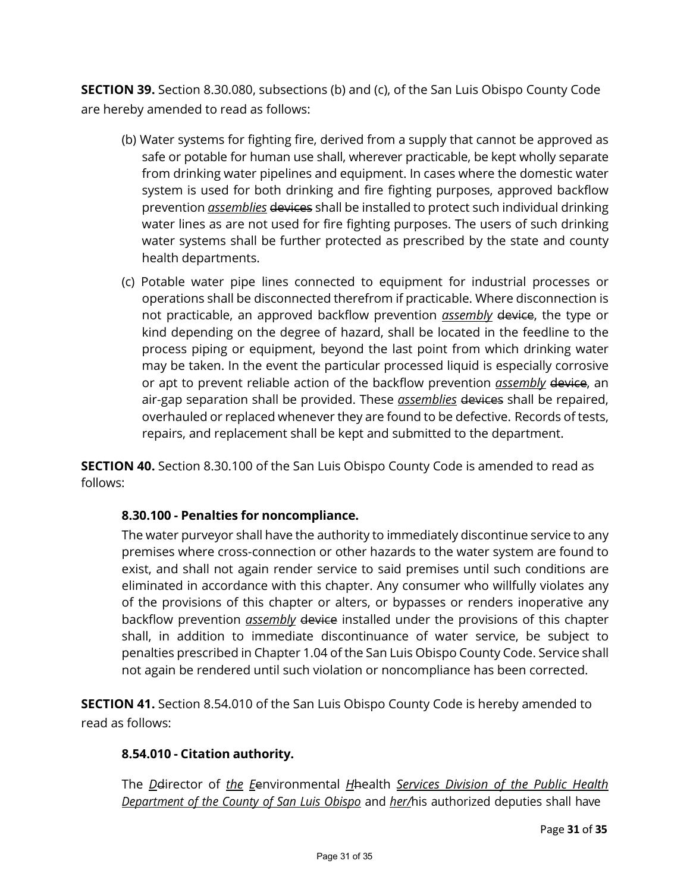**SECTION 39.** Section 8.30.080, subsections (b) and (c), of the San Luis Obispo County Code are hereby amended to read as follows:

- (b) Water systems for fighting fire, derived from a supply that cannot be approved as safe or potable for human use shall, wherever practicable, be kept wholly separate from drinking water pipelines and equipment. In cases where the domestic water system is used for both drinking and fire fighting purposes, approved backflow prevention *assemblies* devices shall be installed to protect such individual drinking water lines as are not used for fire fighting purposes. The users of such drinking water systems shall be further protected as prescribed by the state and county health departments.
- (c) Potable water pipe lines connected to equipment for industrial processes or operations shall be disconnected therefrom if practicable. Where disconnection is not practicable, an approved backflow prevention *assembly* device, the type or kind depending on the degree of hazard, shall be located in the feedline to the process piping or equipment, beyond the last point from which drinking water may be taken. In the event the particular processed liquid is especially corrosive or apt to prevent reliable action of the backflow prevention *assembly* device, an air-gap separation shall be provided. These *assemblies* devices shall be repaired, overhauled or replaced whenever they are found to be defective. Records of tests, repairs, and replacement shall be kept and submitted to the department.

**SECTION 40.** Section 8.30.100 of the San Luis Obispo County Code is amended to read as follows:

# **8.30.100 - Penalties for noncompliance.**

The water purveyor shall have the authority to immediately discontinue service to any premises where cross-connection or other hazards to the water system are found to exist, and shall not again render service to said premises until such conditions are eliminated in accordance with this chapter. Any consumer who willfully violates any of the provisions of this chapter or alters, or bypasses or renders inoperative any backflow prevention *assembly* device installed under the provisions of this chapter shall, in addition to immediate discontinuance of water service, be subject to penalties prescribed in Chapter 1.04 of the San Luis Obispo County Code. Service shall not again be rendered until such violation or noncompliance has been corrected.

**SECTION 41.** Section 8.54.010 of the San Luis Obispo County Code is hereby amended to read as follows:

## **8.54.010 - Citation authority.**

The *D*director of *the E*environmental *H*health *Services Division of the Public Health Department of the County of San Luis Obispo* and *her/*his authorized deputies shall have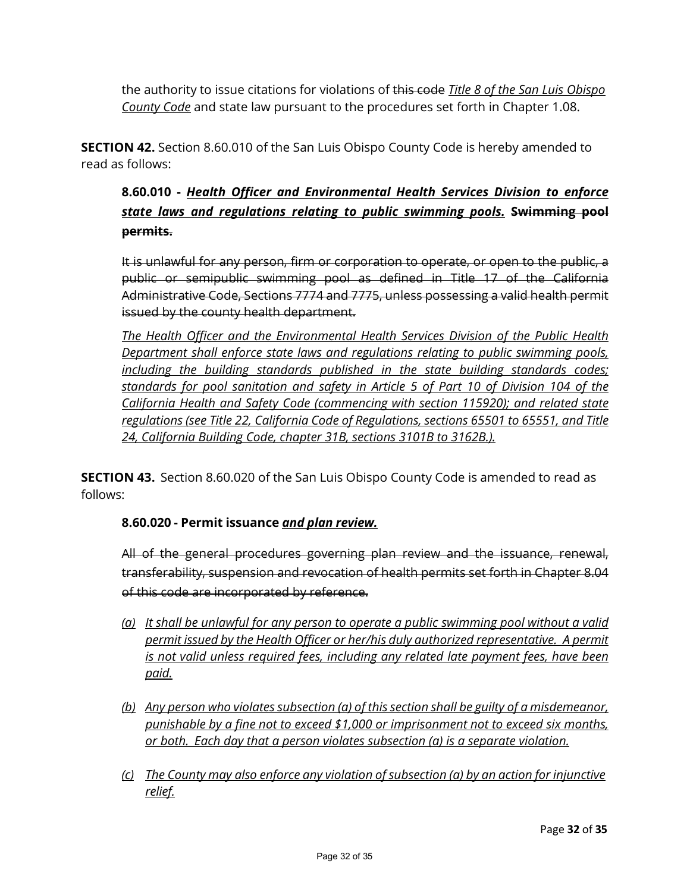the authority to issue citations for violations of this code *Title 8 of the San Luis Obispo County Code* and state law pursuant to the procedures set forth in Chapter 1.08.

**SECTION 42.** Section 8.60.010 of the San Luis Obispo County Code is hereby amended to read as follows:

# **8.60.010 -** *Health Officer and Environmental Health Services Division to enforce state laws and regulations relating to public swimming pools.* **Swimming pool permits.**

It is unlawful for any person, firm or corporation to operate, or open to the public, a public or semipublic swimming pool as defined in Title 17 of the California Administrative Code, Sections 7774 and 7775, unless possessing a valid health permit issued by the county health department.

*The Health Officer and the Environmental Health Services Division of the Public Health Department shall enforce state laws and regulations relating to public swimming pools, including the building standards published in the state building standards codes; standards for pool sanitation and safety in Article 5 of Part 10 of Division 104 of the California Health and Safety Code (commencing with section 115920); and related state regulations (see Title 22, California Code of Regulations, sections 65501 to 65551, and Title 24, California Building Code, chapter 31B, sections 3101B to 3162B.).*

**SECTION 43.** Section 8.60.020 of the San Luis Obispo County Code is amended to read as follows:

## **8.60.020 - Permit issuance** *and plan review.*

All of the general procedures governing plan review and the issuance, renewal, transferability, suspension and revocation of health permits set forth in Chapter 8.04 of this code are incorporated by reference.

- *(a) It shall be unlawful for any person to operate a public swimming pool without a valid permit issued by the Health Officer or her/his duly authorized representative. A permit is not valid unless required fees, including any related late payment fees, have been paid.*
- *(b) Any person who violates subsection (a) of this section shall be guilty of a misdemeanor, punishable by a fine not to exceed \$1,000 or imprisonment not to exceed six months, or both. Each day that a person violates subsection (a) is a separate violation.*
- *(c) The County may also enforce any violation of subsection (a) by an action for injunctive relief.*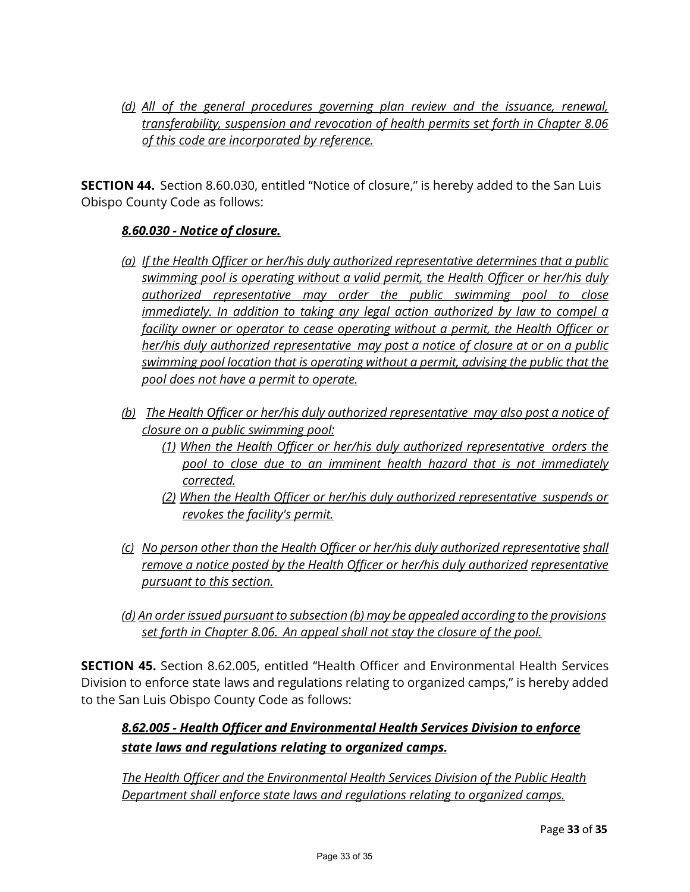*(d) All of the general procedures governing plan review and the issuance, renewal, transferability, suspension and revocation of health permits set forth in Chapter 8.06 of this code are incorporated by reference.*

**SECTION 44.** Section 8.60.030, entitled "Notice of closure," is hereby added to the San Luis Obispo County Code as follows:

## *8.60.030 - Notice of closure.*

- *(a) If the Health Officer or her/his duly authorized representative determines that a public swimming pool is operating without a valid permit, the Health Officer or her/his duly authorized representative may order the public swimming pool to close immediately. In addition to taking any legal action authorized by law to compel a facility owner or operator to cease operating without a permit, the Health Officer or her/his duly authorized representative may post a notice of closure at or on a public swimming pool location that is operating without a permit, advising the public that the pool does not have a permit to operate.*
- *(b) The Health Officer or her/his duly authorized representative may also post a notice of closure on a public swimming pool:*
	- *(1) When the Health Officer or her/his duly authorized representative orders the pool to close due to an imminent health hazard that is not immediately corrected.*
	- *(2) When the Health Officer or her/his duly authorized representative suspends or revokes the facility's permit.*
- *(c) No person other than the Health Officer or her/his duly authorized representative shall remove a notice posted by the Health Officer or her/his duly authorized representative pursuant to this section.*
- *(d) An orderissued pursuant to subsection (b) may be appealed according to the provisions set forth in Chapter 8.06. An appeal shall not stay the closure of the pool.*

**SECTION 45.** Section 8.62.005, entitled "Health Officer and Environmental Health Services Division to enforce state laws and regulations relating to organized camps," is hereby added to the San Luis Obispo County Code as follows:

# *8.62.005 - Health Officer and Environmental Health Services Division to enforce state laws and regulations relating to organized camps.*

*The Health Officer and the Environmental Health Services Division of the Public Health Department shall enforce state laws and regulations relating to organized camps.*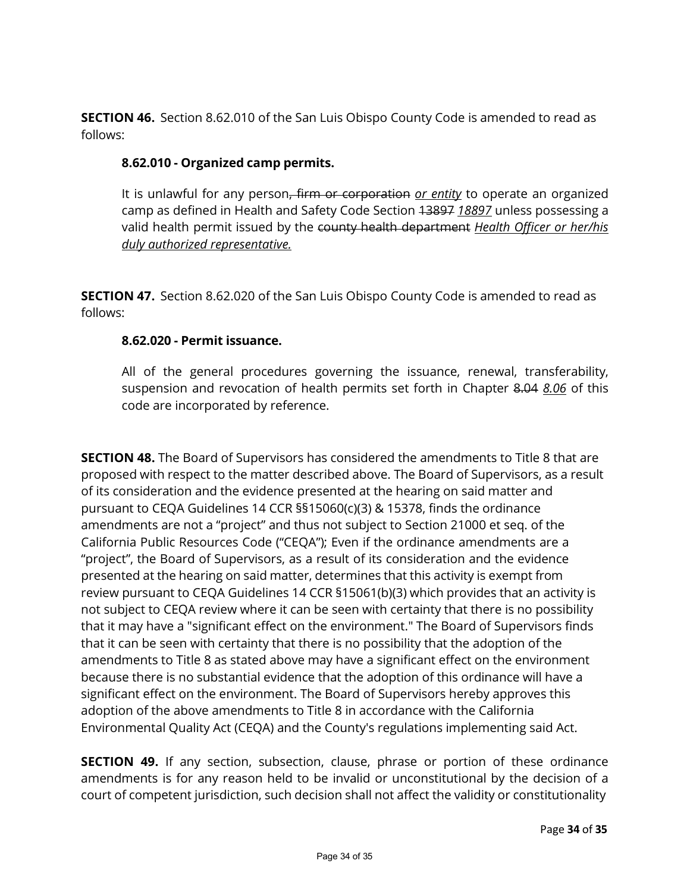**SECTION 46.** Section 8.62.010 of the San Luis Obispo County Code is amended to read as follows:

## **8.62.010 - Organized camp permits.**

It is unlawful for any person, firm or corporation *or entity* to operate an organized camp as defined in Health and Safety Code Section 13897 *18897* unless possessing a valid health permit issued by the county health department *Health Officer or her/his duly authorized representative.*

**SECTION 47.** Section 8.62.020 of the San Luis Obispo County Code is amended to read as follows:

## **8.62.020 - Permit issuance.**

All of the general procedures governing the issuance, renewal, transferability, suspension and revocation of health permits set forth in Chapter 8.04 *8.06* of this code are incorporated by reference.

**SECTION 48.** The Board of Supervisors has considered the amendments to Title 8 that are proposed with respect to the matter described above. The Board of Supervisors, as a result of its consideration and the evidence presented at the hearing on said matter and pursuant to CEQA Guidelines 14 CCR §§15060(c)(3) & 15378, finds the ordinance amendments are not a "project" and thus not subject to Section 21000 et seq. of the California Public Resources Code ("CEQA"); Even if the ordinance amendments are a "project", the Board of Supervisors, as a result of its consideration and the evidence presented at the hearing on said matter, determines that this activity is exempt from review pursuant to CEQA Guidelines 14 CCR §15061(b)(3) which provides that an activity is not subject to CEQA review where it can be seen with certainty that there is no possibility that it may have a "significant effect on the environment." The Board of Supervisors finds that it can be seen with certainty that there is no possibility that the adoption of the amendments to Title 8 as stated above may have a significant effect on the environment because there is no substantial evidence that the adoption of this ordinance will have a significant effect on the environment. The Board of Supervisors hereby approves this adoption of the above amendments to Title 8 in accordance with the California Environmental Quality Act (CEQA) and the County's regulations implementing said Act.

**SECTION 49.** If any section, subsection, clause, phrase or portion of these ordinance amendments is for any reason held to be invalid or unconstitutional by the decision of a court of competent jurisdiction, such decision shall not affect the validity or constitutionality